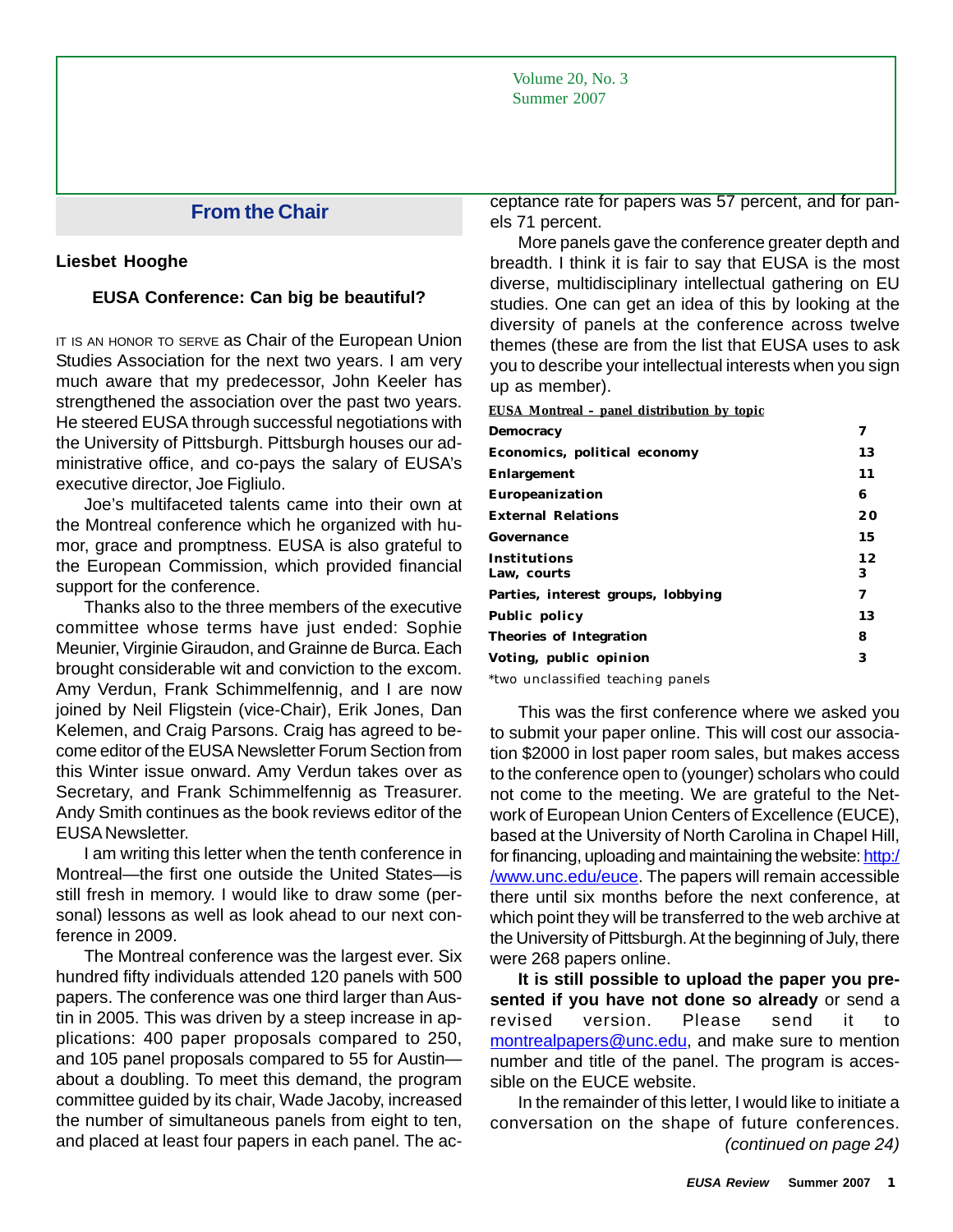Volume 20, No. 3 Summer 2007

# **From the Chair**

#### **Liesbet Hooghe**

### **EUSA Conference: Can big be beautiful?**

IT IS AN HONOR TO SERVE AS Chair of the European Union Studies Association for the next two years. I am very much aware that my predecessor, John Keeler has strengthened the association over the past two years. He steered EUSA through successful negotiations with the University of Pittsburgh. Pittsburgh houses our administrative office, and co-pays the salary of EUSA's executive director, Joe Figliulo.

Joe's multifaceted talents came into their own at the Montreal conference which he organized with humor, grace and promptness. EUSA is also grateful to the European Commission, which provided financial support for the conference.

Thanks also to the three members of the executive committee whose terms have just ended: Sophie Meunier, Virginie Giraudon, and Grainne de Burca. Each brought considerable wit and conviction to the excom. Amy Verdun, Frank Schimmelfennig, and I are now joined by Neil Fligstein (vice-Chair), Erik Jones, Dan Kelemen, and Craig Parsons. Craig has agreed to become editor of the EUSA Newsletter Forum Section from this Winter issue onward. Amy Verdun takes over as Secretary, and Frank Schimmelfennig as Treasurer. Andy Smith continues as the book reviews editor of the EUSA Newsletter.

I am writing this letter when the tenth conference in Montreal—the first one outside the United States—is still fresh in memory. I would like to draw some (personal) lessons as well as look ahead to our next conference in 2009.

The Montreal conference was the largest ever. Six hundred fifty individuals attended 120 panels with 500 papers. The conference was one third larger than Austin in 2005. This was driven by a steep increase in applications: 400 paper proposals compared to 250, and 105 panel proposals compared to 55 for Austin about a doubling. To meet this demand, the program committee guided by its chair, Wade Jacoby, increased the number of simultaneous panels from eight to ten, and placed at least four papers in each panel. The acceptance rate for papers was 57 percent, and for panels 71 percent.

More panels gave the conference greater depth and breadth. I think it is fair to say that EUSA is the most diverse, multidisciplinary intellectual gathering on EU studies. One can get an idea of this by looking at the diversity of panels at the conference across twelve themes (these are from the list that EUSA uses to ask you to describe your intellectual interests when you sign up as member).

**EUSA Montreal – panel distribution by topic**

| Democracy                          | 7       |
|------------------------------------|---------|
| Economics, political economy       | 13      |
| Enlargement                        | 11      |
| Europeanization                    | 6       |
| <b>External Relations</b>          | 20      |
| Governance                         | 15      |
| Institutions<br>Law, courts        | 12<br>3 |
| Parties, interest groups, lobbying | 7       |
| <b>Public policy</b>               | 13      |
| Theories of Integration            | 8       |
| Voting, public opinion             | 3       |

\*two unclassified teaching panels

This was the first conference where we asked you to submit your paper online. This will cost our association \$2000 in lost paper room sales, but makes access to the conference open to (younger) scholars who could not come to the meeting. We are grateful to the Network of European Union Centers of Excellence (EUCE), based at the University of North Carolina in Chapel Hill, for financing, uploading and maintaining the website: http:/ /www.unc.edu/euce. The papers will remain accessible there until six months before the next conference, at which point they will be transferred to the web archive at the University of Pittsburgh. At the beginning of July, there were 268 papers online.

**It is still possible to upload the paper you presented if you have not done so already** or send a revised version. Please send it to montrealpapers@unc.edu, and make sure to mention number and title of the panel. The program is accessible on the EUCE website.

 *(continued on page 24)* In the remainder of this letter, I would like to initiate a conversation on the shape of future conferences.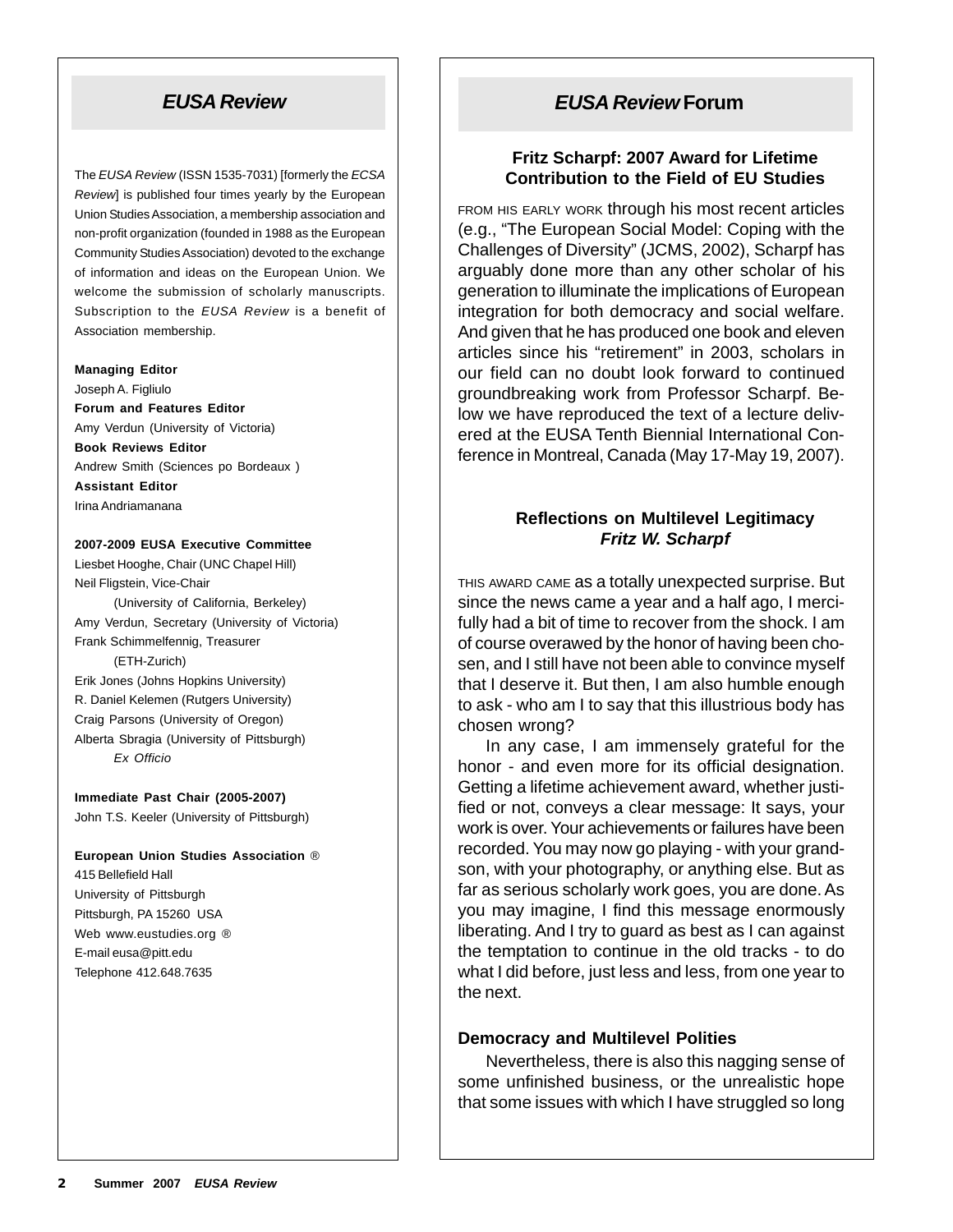# *EUSA Review*

The *EUSA Review* (ISSN 1535-7031) [formerly the *ECSA Review*] is published four times yearly by the European Union Studies Association, a membership association and non-profit organization (founded in 1988 as the European Community Studies Association) devoted to the exchange of information and ideas on the European Union. We welcome the submission of scholarly manuscripts. Subscription to the *EUSA Review* is a benefit of Association membership.

#### **Managing Editor**

Joseph A. Figliulo **Forum and Features Editor** Amy Verdun (University of Victoria) **Book Reviews Editor** Andrew Smith (Sciences po Bordeaux ) **Assistant Editor** Irina Andriamanana

#### **2007-2009 EUSA Executive Committee**

Liesbet Hooghe, Chair (UNC Chapel Hill) Neil Fligstein, Vice-Chair (University of California, Berkeley) Amy Verdun, Secretary (University of Victoria) Frank Schimmelfennig, Treasurer (ETH-Zurich) Erik Jones (Johns Hopkins University) R. Daniel Kelemen (Rutgers University) Craig Parsons (University of Oregon) Alberta Sbragia (University of Pittsburgh) *Ex Officio*

#### **Immediate Past Chair (2005-2007)** John T.S. Keeler (University of Pittsburgh)

#### **European Union Studies Association** ® 415 Bellefield Hall

University of Pittsburgh Pittsburgh, PA 15260 USA Web www.eustudies.org ® E-mail eusa@pitt.edu Telephone 412.648.7635

# *EUSA Review* **Forum**

## **Fritz Scharpf: 2007 Award for Lifetime Contribution to the Field of EU Studies**

FROM HIS EARLY WORK through his most recent articles (e.g., "The European Social Model: Coping with the Challenges of Diversity" (JCMS, 2002), Scharpf has arguably done more than any other scholar of his generation to illuminate the implications of European integration for both democracy and social welfare. And given that he has produced one book and eleven articles since his "retirement" in 2003, scholars in our field can no doubt look forward to continued groundbreaking work from Professor Scharpf. Below we have reproduced the text of a lecture delivered at the EUSA Tenth Biennial International Conference in Montreal, Canada (May 17-May 19, 2007).

# **Reflections on Multilevel Legitimacy** *Fritz W. Scharpf*

THIS AWARD CAME as a totally unexpected surprise. But since the news came a year and a half ago, I mercifully had a bit of time to recover from the shock. I am of course overawed by the honor of having been chosen, and I still have not been able to convince myself that I deserve it. But then, I am also humble enough to ask - who am I to say that this illustrious body has chosen wrong?

In any case, I am immensely grateful for the honor - and even more for its official designation. Getting a lifetime achievement award, whether justified or not, conveys a clear message: It says, your work is over. Your achievements or failures have been recorded. You may now go playing - with your grandson, with your photography, or anything else. But as far as serious scholarly work goes, you are done. As you may imagine, I find this message enormously liberating. And I try to guard as best as I can against the temptation to continue in the old tracks - to do what I did before, just less and less, from one year to the next.

## **Democracy and Multilevel Polities**

Nevertheless, there is also this nagging sense of some unfinished business, or the unrealistic hope that some issues with which I have struggled so long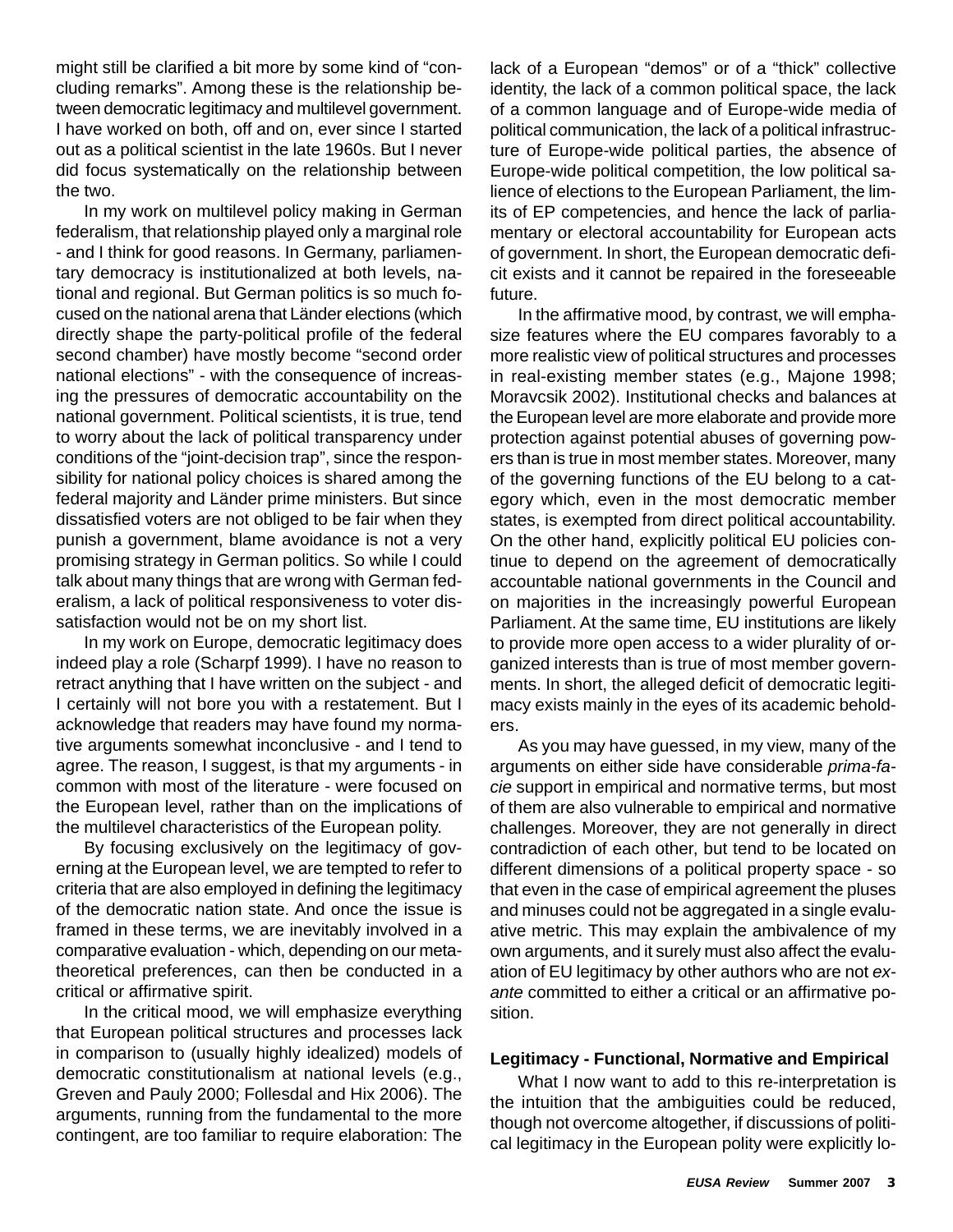might still be clarified a bit more by some kind of "concluding remarks". Among these is the relationship between democratic legitimacy and multilevel government. I have worked on both, off and on, ever since I started out as a political scientist in the late 1960s. But I never did focus systematically on the relationship between the two.

In my work on multilevel policy making in German federalism, that relationship played only a marginal role - and I think for good reasons. In Germany, parliamentary democracy is institutionalized at both levels, national and regional. But German politics is so much focused on the national arena that Länder elections (which directly shape the party-political profile of the federal second chamber) have mostly become "second order national elections" - with the consequence of increasing the pressures of democratic accountability on the national government. Political scientists, it is true, tend to worry about the lack of political transparency under conditions of the "joint-decision trap", since the responsibility for national policy choices is shared among the federal majority and Länder prime ministers. But since dissatisfied voters are not obliged to be fair when they punish a government, blame avoidance is not a very promising strategy in German politics. So while I could talk about many things that are wrong with German federalism, a lack of political responsiveness to voter dissatisfaction would not be on my short list.

In my work on Europe, democratic legitimacy does indeed play a role (Scharpf 1999). I have no reason to retract anything that I have written on the subject - and I certainly will not bore you with a restatement. But I acknowledge that readers may have found my normative arguments somewhat inconclusive - and I tend to agree. The reason, I suggest, is that my arguments - in common with most of the literature - were focused on the European level, rather than on the implications of the multilevel characteristics of the European polity.

By focusing exclusively on the legitimacy of governing at the European level, we are tempted to refer to criteria that are also employed in defining the legitimacy of the democratic nation state. And once the issue is framed in these terms, we are inevitably involved in a comparative evaluation - which, depending on our metatheoretical preferences, can then be conducted in a critical or affirmative spirit.

In the critical mood, we will emphasize everything that European political structures and processes lack in comparison to (usually highly idealized) models of democratic constitutionalism at national levels (e.g., Greven and Pauly 2000; Follesdal and Hix 2006). The arguments, running from the fundamental to the more contingent, are too familiar to require elaboration: The lack of a European "demos" or of a "thick" collective identity, the lack of a common political space, the lack of a common language and of Europe-wide media of political communication, the lack of a political infrastructure of Europe-wide political parties, the absence of Europe-wide political competition, the low political salience of elections to the European Parliament, the limits of EP competencies, and hence the lack of parliamentary or electoral accountability for European acts of government. In short, the European democratic deficit exists and it cannot be repaired in the foreseeable future.

In the affirmative mood, by contrast, we will emphasize features where the EU compares favorably to a more realistic view of political structures and processes in real-existing member states (e.g., Majone 1998; Moravcsik 2002). Institutional checks and balances at the European level are more elaborate and provide more protection against potential abuses of governing powers than is true in most member states. Moreover, many of the governing functions of the EU belong to a category which, even in the most democratic member states, is exempted from direct political accountability. On the other hand, explicitly political EU policies continue to depend on the agreement of democratically accountable national governments in the Council and on majorities in the increasingly powerful European Parliament. At the same time, EU institutions are likely to provide more open access to a wider plurality of organized interests than is true of most member governments. In short, the alleged deficit of democratic legitimacy exists mainly in the eyes of its academic beholders.

As you may have guessed, in my view, many of the arguments on either side have considerable *prima-facie* support in empirical and normative terms, but most of them are also vulnerable to empirical and normative challenges. Moreover, they are not generally in direct contradiction of each other, but tend to be located on different dimensions of a political property space - so that even in the case of empirical agreement the pluses and minuses could not be aggregated in a single evaluative metric. This may explain the ambivalence of my own arguments, and it surely must also affect the evaluation of EU legitimacy by other authors who are not *exante* committed to either a critical or an affirmative position.

## **Legitimacy - Functional, Normative and Empirical**

What I now want to add to this re-interpretation is the intuition that the ambiguities could be reduced, though not overcome altogether, if discussions of political legitimacy in the European polity were explicitly lo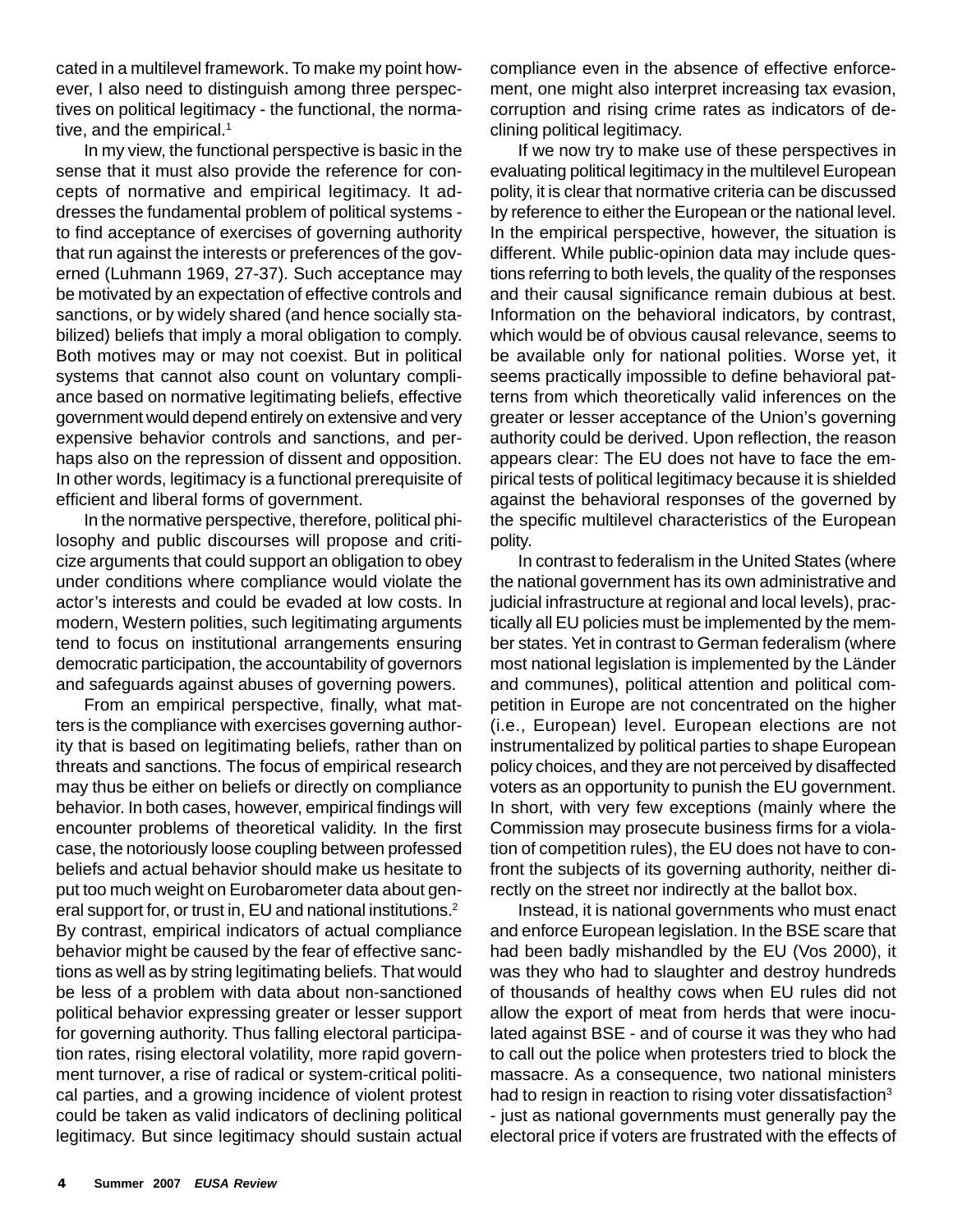cated in a multilevel framework. To make my point however, I also need to distinguish among three perspectives on political legitimacy - the functional, the normative, and the empirical.<sup>1</sup>

In my view, the functional perspective is basic in the sense that it must also provide the reference for concepts of normative and empirical legitimacy. It addresses the fundamental problem of political systems to find acceptance of exercises of governing authority that run against the interests or preferences of the governed (Luhmann 1969, 27-37). Such acceptance may be motivated by an expectation of effective controls and sanctions, or by widely shared (and hence socially stabilized) beliefs that imply a moral obligation to comply. Both motives may or may not coexist. But in political systems that cannot also count on voluntary compliance based on normative legitimating beliefs, effective government would depend entirely on extensive and very expensive behavior controls and sanctions, and perhaps also on the repression of dissent and opposition. In other words, legitimacy is a functional prerequisite of efficient and liberal forms of government.

In the normative perspective, therefore, political philosophy and public discourses will propose and criticize arguments that could support an obligation to obey under conditions where compliance would violate the actor's interests and could be evaded at low costs. In modern, Western polities, such legitimating arguments tend to focus on institutional arrangements ensuring democratic participation, the accountability of governors and safeguards against abuses of governing powers.

From an empirical perspective, finally, what matters is the compliance with exercises governing authority that is based on legitimating beliefs, rather than on threats and sanctions. The focus of empirical research may thus be either on beliefs or directly on compliance behavior. In both cases, however, empirical findings will encounter problems of theoretical validity. In the first case, the notoriously loose coupling between professed beliefs and actual behavior should make us hesitate to put too much weight on Eurobarometer data about general support for, or trust in, EU and national institutions.<sup>2</sup> By contrast, empirical indicators of actual compliance behavior might be caused by the fear of effective sanctions as well as by string legitimating beliefs. That would be less of a problem with data about non-sanctioned political behavior expressing greater or lesser support for governing authority. Thus falling electoral participation rates, rising electoral volatility, more rapid government turnover, a rise of radical or system-critical political parties, and a growing incidence of violent protest could be taken as valid indicators of declining political legitimacy. But since legitimacy should sustain actual

compliance even in the absence of effective enforcement, one might also interpret increasing tax evasion, corruption and rising crime rates as indicators of declining political legitimacy.

If we now try to make use of these perspectives in evaluating political legitimacy in the multilevel European polity, it is clear that normative criteria can be discussed by reference to either the European or the national level. In the empirical perspective, however, the situation is different. While public-opinion data may include questions referring to both levels, the quality of the responses and their causal significance remain dubious at best. Information on the behavioral indicators, by contrast, which would be of obvious causal relevance, seems to be available only for national polities. Worse yet, it seems practically impossible to define behavioral patterns from which theoretically valid inferences on the greater or lesser acceptance of the Union's governing authority could be derived. Upon reflection, the reason appears clear: The EU does not have to face the empirical tests of political legitimacy because it is shielded against the behavioral responses of the governed by the specific multilevel characteristics of the European polity.

In contrast to federalism in the United States (where the national government has its own administrative and judicial infrastructure at regional and local levels), practically all EU policies must be implemented by the member states. Yet in contrast to German federalism (where most national legislation is implemented by the Länder and communes), political attention and political competition in Europe are not concentrated on the higher (i.e., European) level. European elections are not instrumentalized by political parties to shape European policy choices, and they are not perceived by disaffected voters as an opportunity to punish the EU government. In short, with very few exceptions (mainly where the Commission may prosecute business firms for a violation of competition rules), the EU does not have to confront the subjects of its governing authority, neither directly on the street nor indirectly at the ballot box.

Instead, it is national governments who must enact and enforce European legislation. In the BSE scare that had been badly mishandled by the EU (Vos 2000), it was they who had to slaughter and destroy hundreds of thousands of healthy cows when EU rules did not allow the export of meat from herds that were inoculated against BSE - and of course it was they who had to call out the police when protesters tried to block the massacre. As a consequence, two national ministers had to resign in reaction to rising voter dissatisfaction<sup>3</sup> - just as national governments must generally pay the electoral price if voters are frustrated with the effects of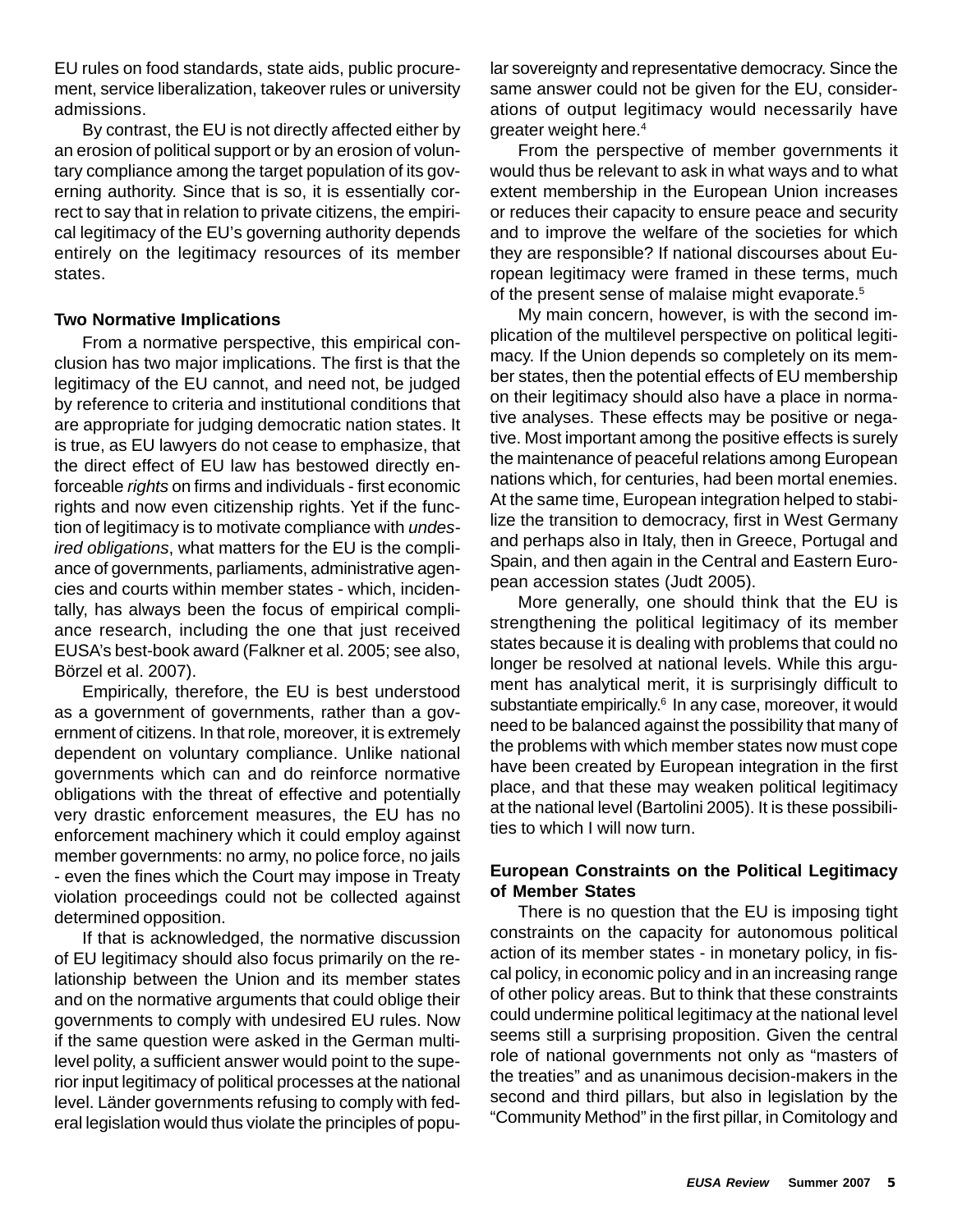EU rules on food standards, state aids, public procurement, service liberalization, takeover rules or university admissions.

By contrast, the EU is not directly affected either by an erosion of political support or by an erosion of voluntary compliance among the target population of its governing authority. Since that is so, it is essentially correct to say that in relation to private citizens, the empirical legitimacy of the EU's governing authority depends entirely on the legitimacy resources of its member states.

## **Two Normative Implications**

From a normative perspective, this empirical conclusion has two major implications. The first is that the legitimacy of the EU cannot, and need not, be judged by reference to criteria and institutional conditions that are appropriate for judging democratic nation states. It is true, as EU lawyers do not cease to emphasize, that the direct effect of EU law has bestowed directly enforceable *rights* on firms and individuals - first economic rights and now even citizenship rights. Yet if the function of legitimacy is to motivate compliance with *undesired obligations*, what matters for the EU is the compliance of governments, parliaments, administrative agencies and courts within member states - which, incidentally, has always been the focus of empirical compliance research, including the one that just received EUSA's best-book award (Falkner et al. 2005; see also, Börzel et al. 2007).

Empirically, therefore, the EU is best understood as a government of governments, rather than a government of citizens. In that role, moreover, it is extremely dependent on voluntary compliance. Unlike national governments which can and do reinforce normative obligations with the threat of effective and potentially very drastic enforcement measures, the EU has no enforcement machinery which it could employ against member governments: no army, no police force, no jails - even the fines which the Court may impose in Treaty violation proceedings could not be collected against determined opposition.

If that is acknowledged, the normative discussion of EU legitimacy should also focus primarily on the relationship between the Union and its member states and on the normative arguments that could oblige their governments to comply with undesired EU rules. Now if the same question were asked in the German multilevel polity, a sufficient answer would point to the superior input legitimacy of political processes at the national level. Länder governments refusing to comply with federal legislation would thus violate the principles of popular sovereignty and representative democracy. Since the same answer could not be given for the EU, considerations of output legitimacy would necessarily have greater weight here.4

From the perspective of member governments it would thus be relevant to ask in what ways and to what extent membership in the European Union increases or reduces their capacity to ensure peace and security and to improve the welfare of the societies for which they are responsible? If national discourses about European legitimacy were framed in these terms, much of the present sense of malaise might evaporate.<sup>5</sup>

My main concern, however, is with the second implication of the multilevel perspective on political legitimacy. If the Union depends so completely on its member states, then the potential effects of EU membership on their legitimacy should also have a place in normative analyses. These effects may be positive or negative. Most important among the positive effects is surely the maintenance of peaceful relations among European nations which, for centuries, had been mortal enemies. At the same time, European integration helped to stabilize the transition to democracy, first in West Germany and perhaps also in Italy, then in Greece, Portugal and Spain, and then again in the Central and Eastern European accession states (Judt 2005).

More generally, one should think that the EU is strengthening the political legitimacy of its member states because it is dealing with problems that could no longer be resolved at national levels. While this argument has analytical merit, it is surprisingly difficult to substantiate empirically.<sup>6</sup> In any case, moreover, it would need to be balanced against the possibility that many of the problems with which member states now must cope have been created by European integration in the first place, and that these may weaken political legitimacy at the national level (Bartolini 2005). It is these possibilities to which I will now turn.

## **European Constraints on the Political Legitimacy of Member States**

There is no question that the EU is imposing tight constraints on the capacity for autonomous political action of its member states - in monetary policy, in fiscal policy, in economic policy and in an increasing range of other policy areas. But to think that these constraints could undermine political legitimacy at the national level seems still a surprising proposition. Given the central role of national governments not only as "masters of the treaties" and as unanimous decision-makers in the second and third pillars, but also in legislation by the "Community Method" in the first pillar, in Comitology and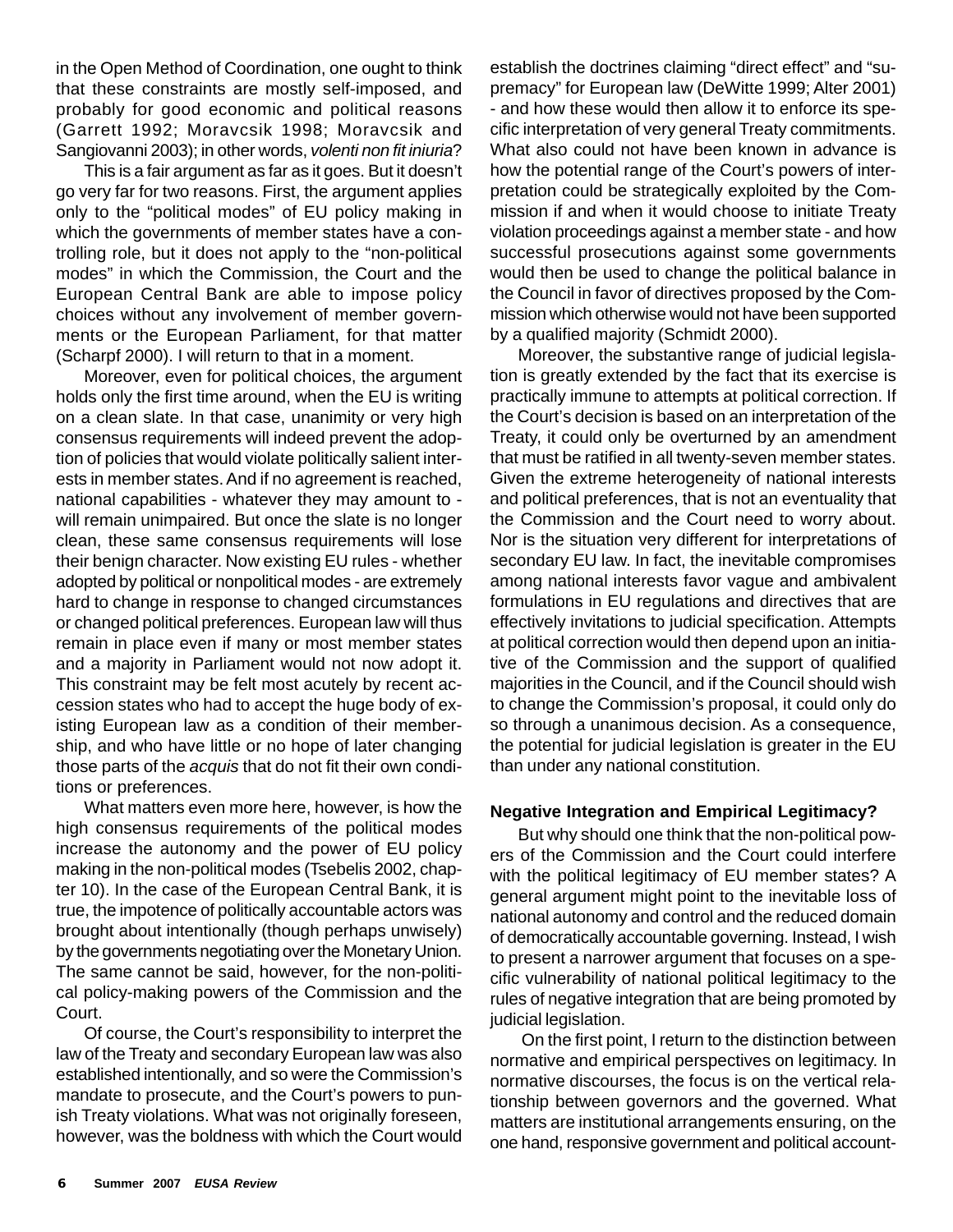in the Open Method of Coordination, one ought to think that these constraints are mostly self-imposed, and probably for good economic and political reasons (Garrett 1992; Moravcsik 1998; Moravcsik and Sangiovanni 2003); in other words, *volenti non fit iniuria*?

This is a fair argument as far as it goes. But it doesn't go very far for two reasons. First, the argument applies only to the "political modes" of EU policy making in which the governments of member states have a controlling role, but it does not apply to the "non-political modes" in which the Commission, the Court and the European Central Bank are able to impose policy choices without any involvement of member governments or the European Parliament, for that matter (Scharpf 2000). I will return to that in a moment.

Moreover, even for political choices, the argument holds only the first time around, when the EU is writing on a clean slate. In that case, unanimity or very high consensus requirements will indeed prevent the adoption of policies that would violate politically salient interests in member states. And if no agreement is reached, national capabilities - whatever they may amount to will remain unimpaired. But once the slate is no longer clean, these same consensus requirements will lose their benign character. Now existing EU rules - whether adopted by political or nonpolitical modes - are extremely hard to change in response to changed circumstances or changed political preferences. European law will thus remain in place even if many or most member states and a majority in Parliament would not now adopt it. This constraint may be felt most acutely by recent accession states who had to accept the huge body of existing European law as a condition of their membership, and who have little or no hope of later changing those parts of the *acquis* that do not fit their own conditions or preferences.

What matters even more here, however, is how the high consensus requirements of the political modes increase the autonomy and the power of EU policy making in the non-political modes (Tsebelis 2002, chapter 10). In the case of the European Central Bank, it is true, the impotence of politically accountable actors was brought about intentionally (though perhaps unwisely) by the governments negotiating over the Monetary Union. The same cannot be said, however, for the non-political policy-making powers of the Commission and the Court.

Of course, the Court's responsibility to interpret the law of the Treaty and secondary European law was also established intentionally, and so were the Commission's mandate to prosecute, and the Court's powers to punish Treaty violations. What was not originally foreseen, however, was the boldness with which the Court would establish the doctrines claiming "direct effect" and "supremacy" for European law (DeWitte 1999; Alter 2001) - and how these would then allow it to enforce its specific interpretation of very general Treaty commitments. What also could not have been known in advance is how the potential range of the Court's powers of interpretation could be strategically exploited by the Commission if and when it would choose to initiate Treaty violation proceedings against a member state - and how successful prosecutions against some governments would then be used to change the political balance in the Council in favor of directives proposed by the Commission which otherwise would not have been supported by a qualified majority (Schmidt 2000).

Moreover, the substantive range of judicial legislation is greatly extended by the fact that its exercise is practically immune to attempts at political correction. If the Court's decision is based on an interpretation of the Treaty, it could only be overturned by an amendment that must be ratified in all twenty-seven member states. Given the extreme heterogeneity of national interests and political preferences, that is not an eventuality that the Commission and the Court need to worry about. Nor is the situation very different for interpretations of secondary EU law. In fact, the inevitable compromises among national interests favor vague and ambivalent formulations in EU regulations and directives that are effectively invitations to judicial specification. Attempts at political correction would then depend upon an initiative of the Commission and the support of qualified majorities in the Council, and if the Council should wish to change the Commission's proposal, it could only do so through a unanimous decision. As a consequence, the potential for judicial legislation is greater in the EU than under any national constitution.

## **Negative Integration and Empirical Legitimacy?**

But why should one think that the non-political powers of the Commission and the Court could interfere with the political legitimacy of EU member states? A general argument might point to the inevitable loss of national autonomy and control and the reduced domain of democratically accountable governing. Instead, I wish to present a narrower argument that focuses on a specific vulnerability of national political legitimacy to the rules of negative integration that are being promoted by judicial legislation.

 On the first point, I return to the distinction between normative and empirical perspectives on legitimacy. In normative discourses, the focus is on the vertical relationship between governors and the governed. What matters are institutional arrangements ensuring, on the one hand, responsive government and political account-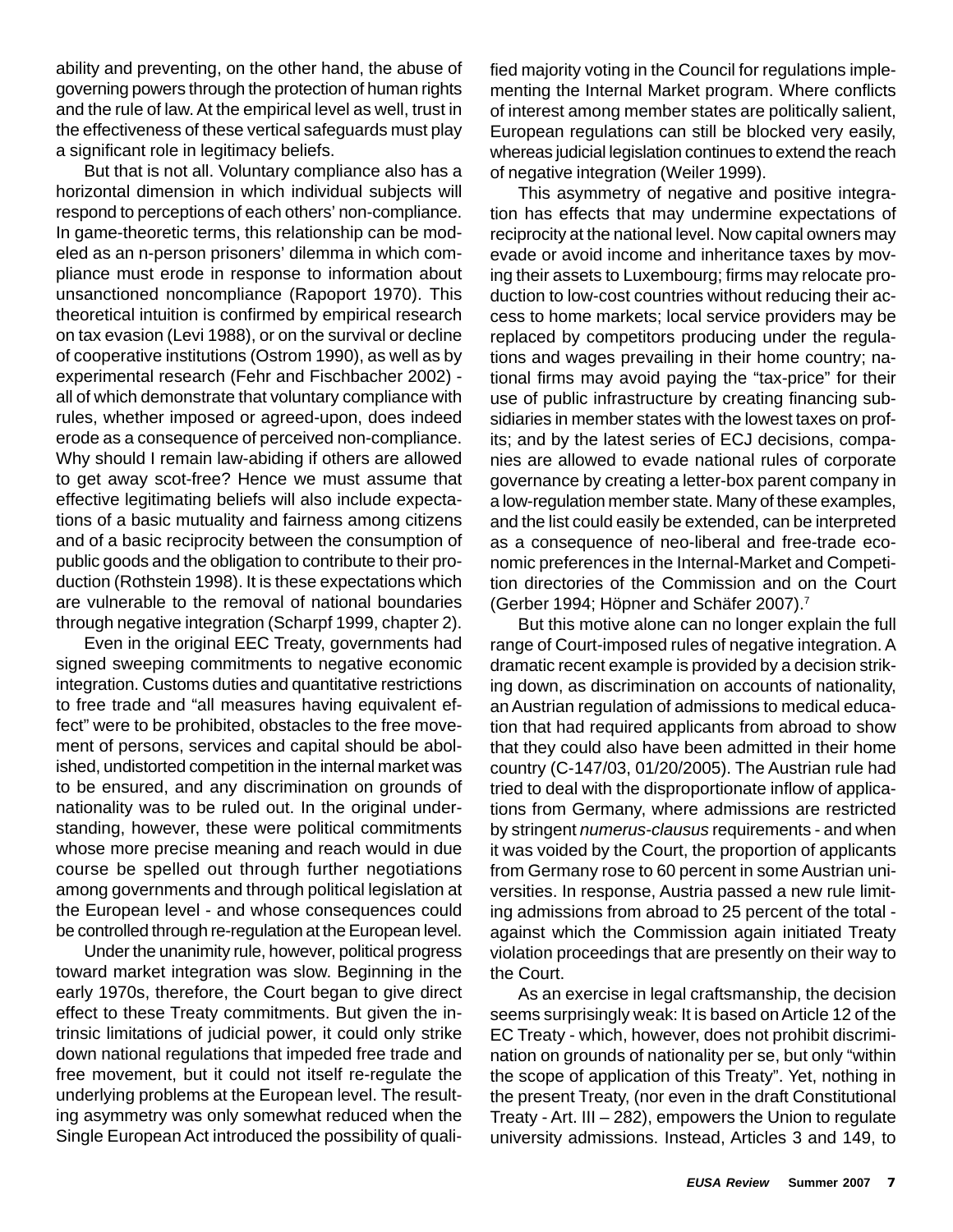ability and preventing, on the other hand, the abuse of governing powers through the protection of human rights and the rule of law. At the empirical level as well, trust in the effectiveness of these vertical safeguards must play a significant role in legitimacy beliefs.

But that is not all. Voluntary compliance also has a horizontal dimension in which individual subjects will respond to perceptions of each others' non-compliance. In game-theoretic terms, this relationship can be modeled as an n-person prisoners' dilemma in which compliance must erode in response to information about unsanctioned noncompliance (Rapoport 1970). This theoretical intuition is confirmed by empirical research on tax evasion (Levi 1988), or on the survival or decline of cooperative institutions (Ostrom 1990), as well as by experimental research (Fehr and Fischbacher 2002) all of which demonstrate that voluntary compliance with rules, whether imposed or agreed-upon, does indeed erode as a consequence of perceived non-compliance. Why should I remain law-abiding if others are allowed to get away scot-free? Hence we must assume that effective legitimating beliefs will also include expectations of a basic mutuality and fairness among citizens and of a basic reciprocity between the consumption of public goods and the obligation to contribute to their production (Rothstein 1998). It is these expectations which are vulnerable to the removal of national boundaries through negative integration (Scharpf 1999, chapter 2).

Even in the original EEC Treaty, governments had signed sweeping commitments to negative economic integration. Customs duties and quantitative restrictions to free trade and "all measures having equivalent effect" were to be prohibited, obstacles to the free movement of persons, services and capital should be abolished, undistorted competition in the internal market was to be ensured, and any discrimination on grounds of nationality was to be ruled out. In the original understanding, however, these were political commitments whose more precise meaning and reach would in due course be spelled out through further negotiations among governments and through political legislation at the European level - and whose consequences could be controlled through re-regulation at the European level.

Under the unanimity rule, however, political progress toward market integration was slow. Beginning in the early 1970s, therefore, the Court began to give direct effect to these Treaty commitments. But given the intrinsic limitations of judicial power, it could only strike down national regulations that impeded free trade and free movement, but it could not itself re-regulate the underlying problems at the European level. The resulting asymmetry was only somewhat reduced when the Single European Act introduced the possibility of qualified majority voting in the Council for regulations implementing the Internal Market program. Where conflicts of interest among member states are politically salient, European regulations can still be blocked very easily, whereas judicial legislation continues to extend the reach of negative integration (Weiler 1999).

This asymmetry of negative and positive integration has effects that may undermine expectations of reciprocity at the national level. Now capital owners may evade or avoid income and inheritance taxes by moving their assets to Luxembourg; firms may relocate production to low-cost countries without reducing their access to home markets; local service providers may be replaced by competitors producing under the regulations and wages prevailing in their home country; national firms may avoid paying the "tax-price" for their use of public infrastructure by creating financing subsidiaries in member states with the lowest taxes on profits; and by the latest series of ECJ decisions, companies are allowed to evade national rules of corporate governance by creating a letter-box parent company in a low-regulation member state. Many of these examples, and the list could easily be extended, can be interpreted as a consequence of neo-liberal and free-trade economic preferences in the Internal-Market and Competition directories of the Commission and on the Court (Gerber 1994; Höpner and Schäfer 2007).7

But this motive alone can no longer explain the full range of Court-imposed rules of negative integration. A dramatic recent example is provided by a decision striking down, as discrimination on accounts of nationality, an Austrian regulation of admissions to medical education that had required applicants from abroad to show that they could also have been admitted in their home country (C-147/03, 01/20/2005). The Austrian rule had tried to deal with the disproportionate inflow of applications from Germany, where admissions are restricted by stringent *numerus-clausus* requirements - and when it was voided by the Court, the proportion of applicants from Germany rose to 60 percent in some Austrian universities. In response, Austria passed a new rule limiting admissions from abroad to 25 percent of the total against which the Commission again initiated Treaty violation proceedings that are presently on their way to the Court.

As an exercise in legal craftsmanship, the decision seems surprisingly weak: It is based on Article 12 of the EC Treaty - which, however, does not prohibit discrimination on grounds of nationality per se, but only "within the scope of application of this Treaty". Yet, nothing in the present Treaty, (nor even in the draft Constitutional Treaty - Art. III – 282), empowers the Union to regulate university admissions. Instead, Articles 3 and 149, to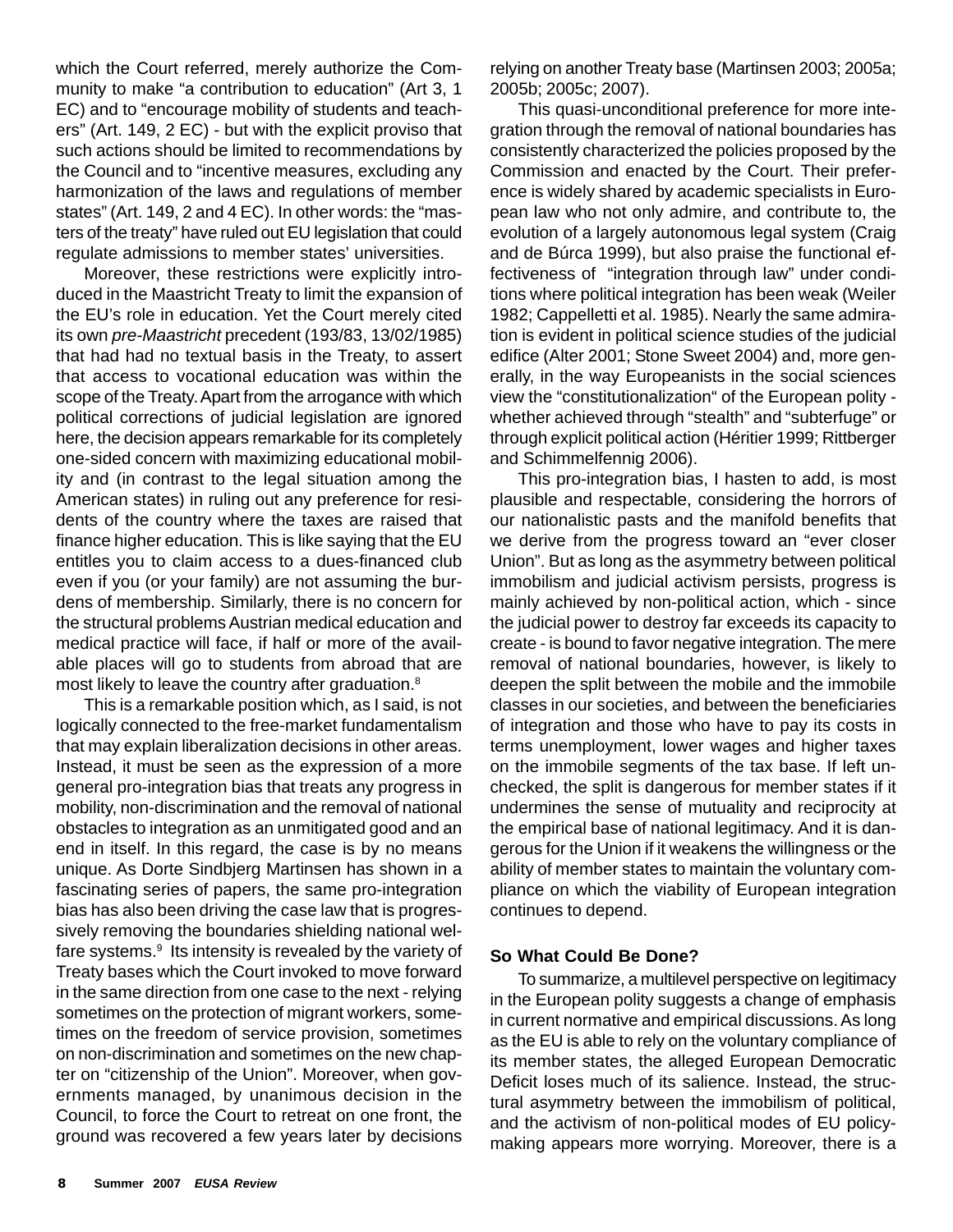which the Court referred, merely authorize the Community to make "a contribution to education" (Art 3, 1 EC) and to "encourage mobility of students and teachers" (Art. 149, 2 EC) - but with the explicit proviso that such actions should be limited to recommendations by the Council and to "incentive measures, excluding any harmonization of the laws and regulations of member states" (Art. 149, 2 and 4 EC). In other words: the "masters of the treaty" have ruled out EU legislation that could regulate admissions to member states' universities.

Moreover, these restrictions were explicitly introduced in the Maastricht Treaty to limit the expansion of the EU's role in education. Yet the Court merely cited its own *pre-Maastricht* precedent (193/83, 13/02/1985) that had had no textual basis in the Treaty, to assert that access to vocational education was within the scope of the Treaty. Apart from the arrogance with which political corrections of judicial legislation are ignored here, the decision appears remarkable for its completely one-sided concern with maximizing educational mobility and (in contrast to the legal situation among the American states) in ruling out any preference for residents of the country where the taxes are raised that finance higher education. This is like saying that the EU entitles you to claim access to a dues-financed club even if you (or your family) are not assuming the burdens of membership. Similarly, there is no concern for the structural problems Austrian medical education and medical practice will face, if half or more of the available places will go to students from abroad that are most likely to leave the country after graduation.<sup>8</sup>

This is a remarkable position which, as I said, is not logically connected to the free-market fundamentalism that may explain liberalization decisions in other areas. Instead, it must be seen as the expression of a more general pro-integration bias that treats any progress in mobility, non-discrimination and the removal of national obstacles to integration as an unmitigated good and an end in itself. In this regard, the case is by no means unique. As Dorte Sindbjerg Martinsen has shown in a fascinating series of papers, the same pro-integration bias has also been driving the case law that is progressively removing the boundaries shielding national welfare systems.9 Its intensity is revealed by the variety of Treaty bases which the Court invoked to move forward in the same direction from one case to the next - relying sometimes on the protection of migrant workers, sometimes on the freedom of service provision, sometimes on non-discrimination and sometimes on the new chapter on "citizenship of the Union". Moreover, when governments managed, by unanimous decision in the Council, to force the Court to retreat on one front, the ground was recovered a few years later by decisions

relying on another Treaty base (Martinsen 2003; 2005a; 2005b; 2005c; 2007).

This quasi-unconditional preference for more integration through the removal of national boundaries has consistently characterized the policies proposed by the Commission and enacted by the Court. Their preference is widely shared by academic specialists in European law who not only admire, and contribute to, the evolution of a largely autonomous legal system (Craig and de Búrca 1999), but also praise the functional effectiveness of "integration through law" under conditions where political integration has been weak (Weiler 1982; Cappelletti et al. 1985). Nearly the same admiration is evident in political science studies of the judicial edifice (Alter 2001; Stone Sweet 2004) and, more generally, in the way Europeanists in the social sciences view the "constitutionalization" of the European polity whether achieved through "stealth" and "subterfuge" or through explicit political action (Héritier 1999; Rittberger and Schimmelfennig 2006).

This pro-integration bias, I hasten to add, is most plausible and respectable, considering the horrors of our nationalistic pasts and the manifold benefits that we derive from the progress toward an "ever closer Union". But as long as the asymmetry between political immobilism and judicial activism persists, progress is mainly achieved by non-political action, which - since the judicial power to destroy far exceeds its capacity to create - is bound to favor negative integration. The mere removal of national boundaries, however, is likely to deepen the split between the mobile and the immobile classes in our societies, and between the beneficiaries of integration and those who have to pay its costs in terms unemployment, lower wages and higher taxes on the immobile segments of the tax base. If left unchecked, the split is dangerous for member states if it undermines the sense of mutuality and reciprocity at the empirical base of national legitimacy. And it is dangerous for the Union if it weakens the willingness or the ability of member states to maintain the voluntary compliance on which the viability of European integration continues to depend.

## **So What Could Be Done?**

To summarize, a multilevel perspective on legitimacy in the European polity suggests a change of emphasis in current normative and empirical discussions. As long as the EU is able to rely on the voluntary compliance of its member states, the alleged European Democratic Deficit loses much of its salience. Instead, the structural asymmetry between the immobilism of political, and the activism of non-political modes of EU policymaking appears more worrying. Moreover, there is a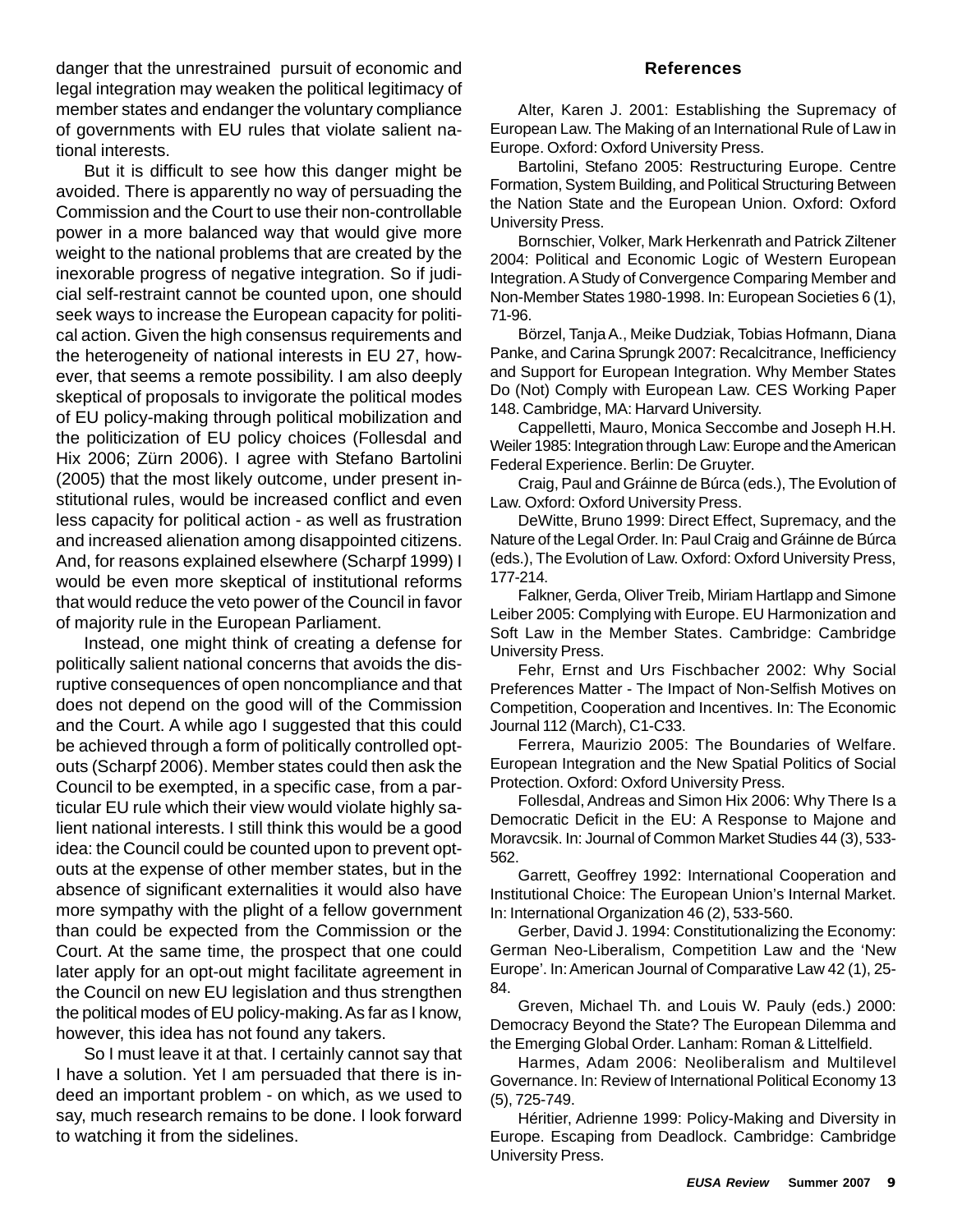danger that the unrestrained pursuit of economic and legal integration may weaken the political legitimacy of member states and endanger the voluntary compliance of governments with EU rules that violate salient national interests.

But it is difficult to see how this danger might be avoided. There is apparently no way of persuading the Commission and the Court to use their non-controllable power in a more balanced way that would give more weight to the national problems that are created by the inexorable progress of negative integration. So if judicial self-restraint cannot be counted upon, one should seek ways to increase the European capacity for political action. Given the high consensus requirements and the heterogeneity of national interests in EU 27, however, that seems a remote possibility. I am also deeply skeptical of proposals to invigorate the political modes of EU policy-making through political mobilization and the politicization of EU policy choices (Follesdal and Hix 2006; Zürn 2006). I agree with Stefano Bartolini (2005) that the most likely outcome, under present institutional rules, would be increased conflict and even less capacity for political action - as well as frustration and increased alienation among disappointed citizens. And, for reasons explained elsewhere (Scharpf 1999) I would be even more skeptical of institutional reforms that would reduce the veto power of the Council in favor of majority rule in the European Parliament.

Instead, one might think of creating a defense for politically salient national concerns that avoids the disruptive consequences of open noncompliance and that does not depend on the good will of the Commission and the Court. A while ago I suggested that this could be achieved through a form of politically controlled optouts (Scharpf 2006). Member states could then ask the Council to be exempted, in a specific case, from a particular EU rule which their view would violate highly salient national interests. I still think this would be a good idea: the Council could be counted upon to prevent optouts at the expense of other member states, but in the absence of significant externalities it would also have more sympathy with the plight of a fellow government than could be expected from the Commission or the Court. At the same time, the prospect that one could later apply for an opt-out might facilitate agreement in the Council on new EU legislation and thus strengthen the political modes of EU policy-making. As far as I know, however, this idea has not found any takers.

So I must leave it at that. I certainly cannot say that I have a solution. Yet I am persuaded that there is indeed an important problem - on which, as we used to say, much research remains to be done. I look forward to watching it from the sidelines.

#### **References**

Alter, Karen J. 2001: Establishing the Supremacy of European Law. The Making of an International Rule of Law in Europe. Oxford: Oxford University Press.

Bartolini, Stefano 2005: Restructuring Europe. Centre Formation, System Building, and Political Structuring Between the Nation State and the European Union. Oxford: Oxford University Press.

Bornschier, Volker, Mark Herkenrath and Patrick Ziltener 2004: Political and Economic Logic of Western European Integration. A Study of Convergence Comparing Member and Non-Member States 1980-1998. In: European Societies 6 (1), 71-96.

Börzel, Tanja A., Meike Dudziak, Tobias Hofmann, Diana Panke, and Carina Sprungk 2007: Recalcitrance, Inefficiency and Support for European Integration. Why Member States Do (Not) Comply with European Law. CES Working Paper 148. Cambridge, MA: Harvard University.

Cappelletti, Mauro, Monica Seccombe and Joseph H.H. Weiler 1985: Integration through Law: Europe and the American Federal Experience. Berlin: De Gruyter.

Craig, Paul and Gráinne de Búrca (eds.), The Evolution of Law. Oxford: Oxford University Press.

DeWitte, Bruno 1999: Direct Effect, Supremacy, and the Nature of the Legal Order. In: Paul Craig and Gráinne de Búrca (eds.), The Evolution of Law. Oxford: Oxford University Press, 177-214.

Falkner, Gerda, Oliver Treib, Miriam Hartlapp and Simone Leiber 2005: Complying with Europe. EU Harmonization and Soft Law in the Member States. Cambridge: Cambridge University Press.

Fehr, Ernst and Urs Fischbacher 2002: Why Social Preferences Matter - The Impact of Non-Selfish Motives on Competition, Cooperation and Incentives. In: The Economic Journal 112 (March), C1-C33.

Ferrera, Maurizio 2005: The Boundaries of Welfare. European Integration and the New Spatial Politics of Social Protection. Oxford: Oxford University Press.

Follesdal, Andreas and Simon Hix 2006: Why There Is a Democratic Deficit in the EU: A Response to Majone and Moravcsik. In: Journal of Common Market Studies 44 (3), 533- 562.

Garrett, Geoffrey 1992: International Cooperation and Institutional Choice: The European Union's Internal Market. In: International Organization 46 (2), 533-560.

Gerber, David J. 1994: Constitutionalizing the Economy: German Neo-Liberalism, Competition Law and the 'New Europe'. In: American Journal of Comparative Law 42 (1), 25- 84.

Greven, Michael Th. and Louis W. Pauly (eds.) 2000: Democracy Beyond the State? The European Dilemma and the Emerging Global Order. Lanham: Roman & Littelfield.

Harmes, Adam 2006: Neoliberalism and Multilevel Governance. In: Review of International Political Economy 13 (5), 725-749.

Héritier, Adrienne 1999: Policy-Making and Diversity in Europe. Escaping from Deadlock. Cambridge: Cambridge University Press.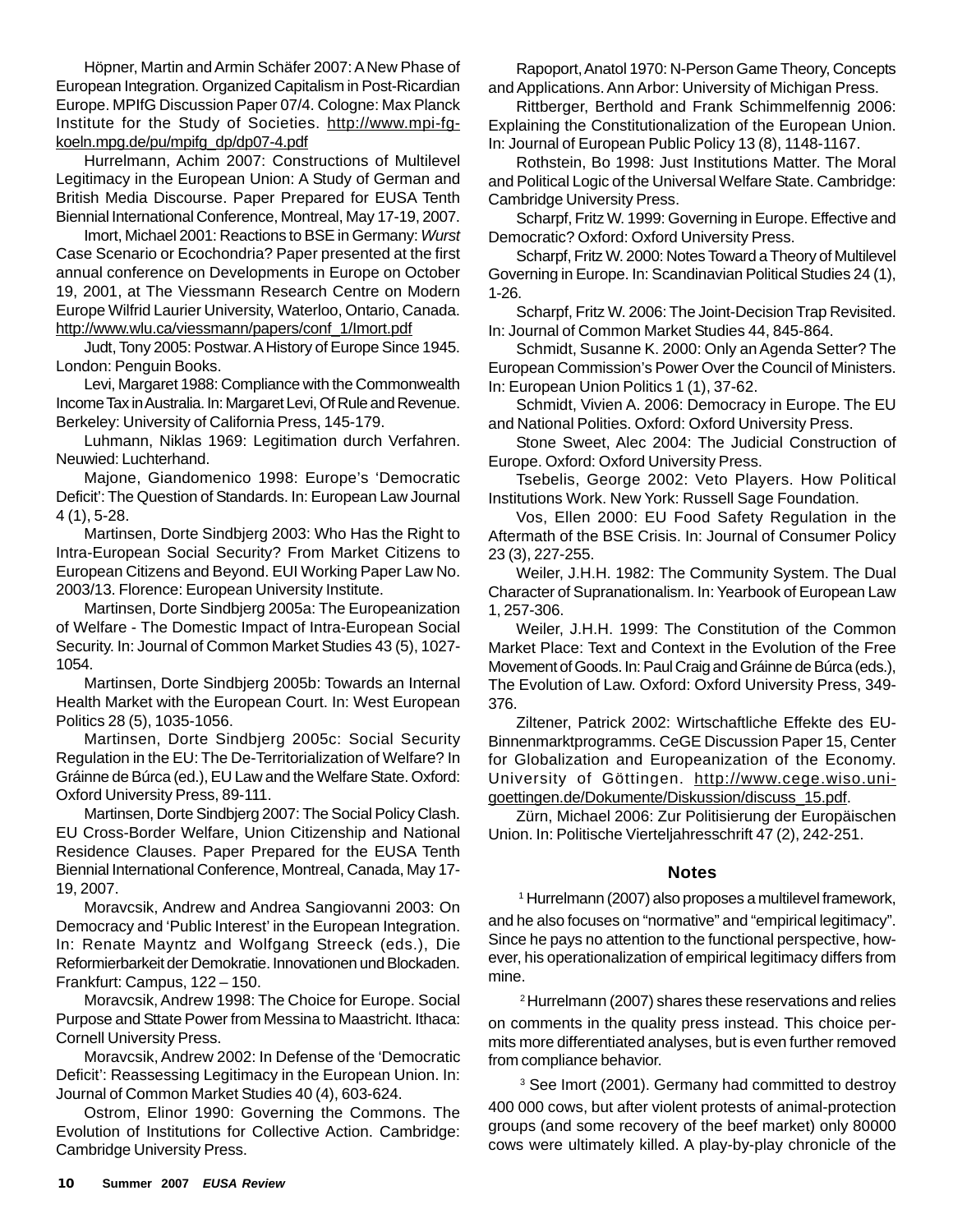Höpner, Martin and Armin Schäfer 2007: A New Phase of European Integration. Organized Capitalism in Post-Ricardian Europe. MPIfG Discussion Paper 07/4. Cologne: Max Planck Institute for the Study of Societies. http://www.mpi-fgkoeln.mpg.de/pu/mpifg\_dp/dp07-4.pdf

Hurrelmann, Achim 2007: Constructions of Multilevel Legitimacy in the European Union: A Study of German and British Media Discourse. Paper Prepared for EUSA Tenth Biennial International Conference, Montreal, May 17-19, 2007.

Imort, Michael 2001: Reactions to BSE in Germany: *Wurst* Case Scenario or Ecochondria? Paper presented at the first annual conference on Developments in Europe on October 19, 2001, at The Viessmann Research Centre on Modern Europe Wilfrid Laurier University, Waterloo, Ontario, Canada. http://www.wlu.ca/viessmann/papers/conf\_1/Imort.pdf

Judt, Tony 2005: Postwar. A History of Europe Since 1945. London: Penguin Books.

Levi, Margaret 1988: Compliance with the Commonwealth Income Tax in Australia. In: Margaret Levi, Of Rule and Revenue. Berkeley: University of California Press, 145-179.

Luhmann, Niklas 1969: Legitimation durch Verfahren. Neuwied: Luchterhand.

Majone, Giandomenico 1998: Europe's 'Democratic Deficit': The Question of Standards. In: European Law Journal 4 (1), 5-28.

Martinsen, Dorte Sindbjerg 2003: Who Has the Right to Intra-European Social Security? From Market Citizens to European Citizens and Beyond. EUI Working Paper Law No. 2003/13. Florence: European University Institute.

Martinsen, Dorte Sindbjerg 2005a: The Europeanization of Welfare - The Domestic Impact of Intra-European Social Security. In: Journal of Common Market Studies 43 (5), 1027- 1054.

Martinsen, Dorte Sindbjerg 2005b: Towards an Internal Health Market with the European Court. In: West European Politics 28 (5), 1035-1056.

Martinsen, Dorte Sindbjerg 2005c: Social Security Regulation in the EU: The De-Territorialization of Welfare? In Gráinne de Búrca (ed.), EU Law and the Welfare State. Oxford: Oxford University Press, 89-111.

Martinsen, Dorte Sindbjerg 2007: The Social Policy Clash. EU Cross-Border Welfare, Union Citizenship and National Residence Clauses. Paper Prepared for the EUSA Tenth Biennial International Conference, Montreal, Canada, May 17- 19, 2007.

Moravcsik, Andrew and Andrea Sangiovanni 2003: On Democracy and 'Public Interest' in the European Integration. In: Renate Mayntz and Wolfgang Streeck (eds.), Die Reformierbarkeit der Demokratie. Innovationen und Blockaden. Frankfurt: Campus, 122 – 150.

Moravcsik, Andrew 1998: The Choice for Europe. Social Purpose and Sttate Power from Messina to Maastricht. Ithaca: Cornell University Press.

Moravcsik, Andrew 2002: In Defense of the 'Democratic Deficit': Reassessing Legitimacy in the European Union. In: Journal of Common Market Studies 40 (4), 603-624.

Ostrom, Elinor 1990: Governing the Commons. The Evolution of Institutions for Collective Action. Cambridge: Cambridge University Press.

Rapoport, Anatol 1970: N-Person Game Theory, Concepts and Applications. Ann Arbor: University of Michigan Press.

Rittberger, Berthold and Frank Schimmelfennig 2006: Explaining the Constitutionalization of the European Union. In: Journal of European Public Policy 13 (8), 1148-1167.

Rothstein, Bo 1998: Just Institutions Matter. The Moral and Political Logic of the Universal Welfare State. Cambridge: Cambridge University Press.

Scharpf, Fritz W. 1999: Governing in Europe. Effective and Democratic? Oxford: Oxford University Press.

Scharpf, Fritz W. 2000: Notes Toward a Theory of Multilevel Governing in Europe. In: Scandinavian Political Studies 24 (1), 1-26.

Scharpf, Fritz W. 2006: The Joint-Decision Trap Revisited. In: Journal of Common Market Studies 44, 845-864.

Schmidt, Susanne K. 2000: Only an Agenda Setter? The European Commission's Power Over the Council of Ministers. In: European Union Politics 1 (1), 37-62.

Schmidt, Vivien A. 2006: Democracy in Europe. The EU and National Polities. Oxford: Oxford University Press.

Stone Sweet, Alec 2004: The Judicial Construction of Europe. Oxford: Oxford University Press.

Tsebelis, George 2002: Veto Players. How Political Institutions Work. New York: Russell Sage Foundation.

Vos, Ellen 2000: EU Food Safety Regulation in the Aftermath of the BSE Crisis. In: Journal of Consumer Policy 23 (3), 227-255.

Weiler, J.H.H. 1982: The Community System. The Dual Character of Supranationalism. In: Yearbook of European Law 1, 257-306.

Weiler, J.H.H. 1999: The Constitution of the Common Market Place: Text and Context in the Evolution of the Free Movement of Goods. In: Paul Craig and Gráinne de Búrca (eds.), The Evolution of Law. Oxford: Oxford University Press, 349- 376.

Ziltener, Patrick 2002: Wirtschaftliche Effekte des EU-Binnenmarktprogramms. CeGE Discussion Paper 15, Center for Globalization and Europeanization of the Economy. University of Göttingen. http://www.cege.wiso.unigoettingen.de/Dokumente/Diskussion/discuss\_15.pdf.

Zürn, Michael 2006: Zur Politisierung der Europäischen Union. In: Politische Vierteljahresschrift 47 (2), 242-251.

## **Notes**

1 Hurrelmann (2007) also proposes a multilevel framework, and he also focuses on "normative" and "empirical legitimacy". Since he pays no attention to the functional perspective, however, his operationalization of empirical legitimacy differs from mine.

2Hurrelmann (2007) shares these reservations and relies on comments in the quality press instead. This choice permits more differentiated analyses, but is even further removed from compliance behavior.

3 See Imort (2001). Germany had committed to destroy 400 000 cows, but after violent protests of animal-protection groups (and some recovery of the beef market) only 80000 cows were ultimately killed. A play-by-play chronicle of the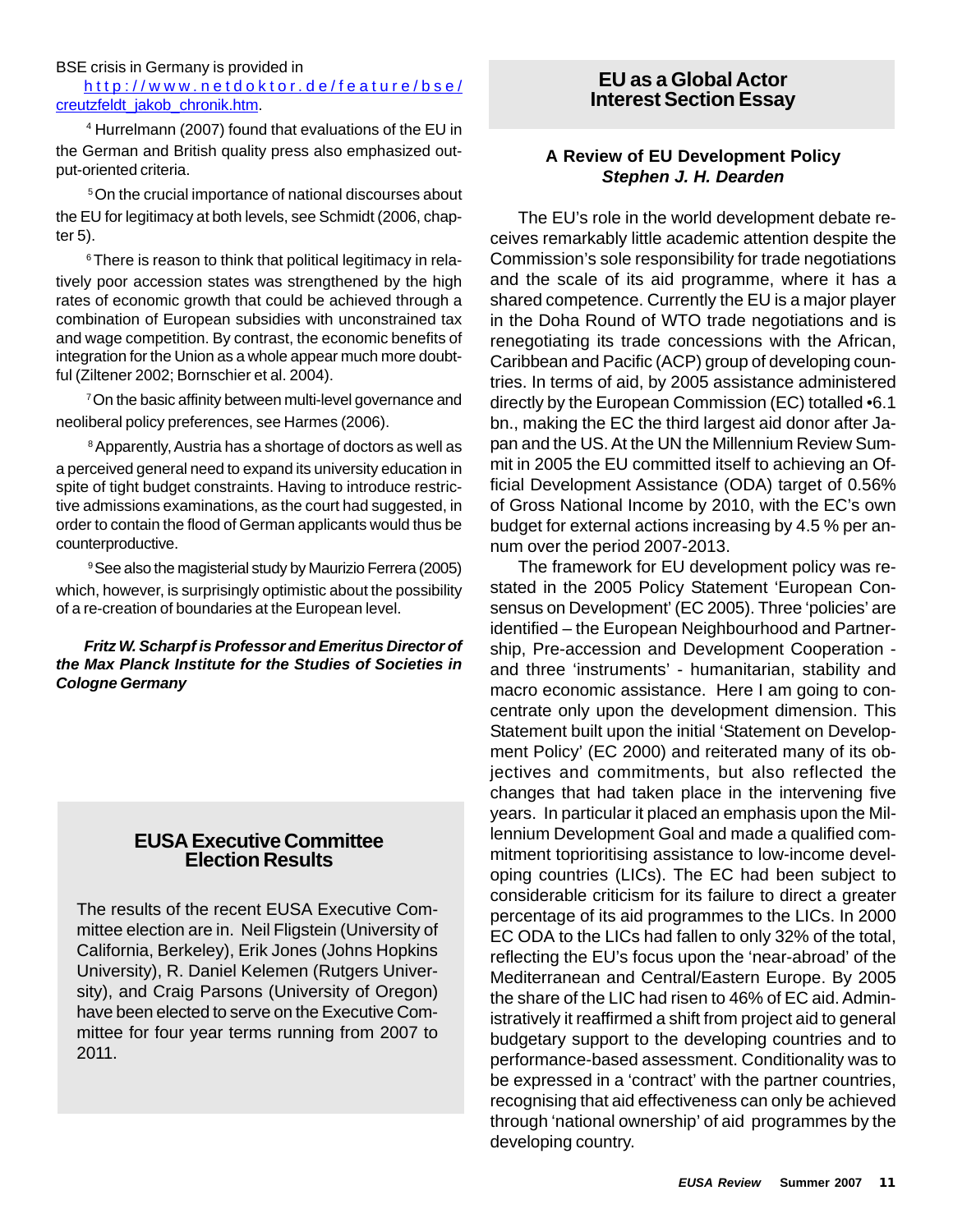BSE crisis in Germany is provided in

http://www.netdoktor.de/feature/bse/ creutzfeldt\_jakob\_chronik.htm.

4 Hurrelmann (2007) found that evaluations of the EU in the German and British quality press also emphasized output-oriented criteria.

5On the crucial importance of national discourses about the EU for legitimacy at both levels, see Schmidt (2006, chapter 5).

<sup>6</sup>There is reason to think that political legitimacy in relatively poor accession states was strengthened by the high rates of economic growth that could be achieved through a combination of European subsidies with unconstrained tax and wage competition. By contrast, the economic benefits of integration for the Union as a whole appear much more doubtful (Ziltener 2002; Bornschier et al. 2004).

<sup>7</sup> On the basic affinity between multi-level governance and neoliberal policy preferences, see Harmes (2006).

8 Apparently, Austria has a shortage of doctors as well as a perceived general need to expand its university education in spite of tight budget constraints. Having to introduce restrictive admissions examinations, as the court had suggested, in order to contain the flood of German applicants would thus be counterproductive.

9See also the magisterial study by Maurizio Ferrera (2005) which, however, is surprisingly optimistic about the possibility of a re-creation of boundaries at the European level.

*Fritz W. Scharpf is Professor and Emeritus Director of the Max Planck Institute for the Studies of Societies in Cologne Germany*

## **EUSA Executive Committee Election Results**

The results of the recent EUSA Executive Committee election are in. Neil Fligstein (University of California, Berkeley), Erik Jones (Johns Hopkins University), R. Daniel Kelemen (Rutgers University), and Craig Parsons (University of Oregon) have been elected to serve on the Executive Committee for four year terms running from 2007 to 2011.

# **EU as a Global Actor Interest Section Essay**

## **A Review of EU Development Policy** *Stephen J. H. Dearden*

The EU's role in the world development debate receives remarkably little academic attention despite the Commission's sole responsibility for trade negotiations and the scale of its aid programme, where it has a shared competence. Currently the EU is a major player in the Doha Round of WTO trade negotiations and is renegotiating its trade concessions with the African, Caribbean and Pacific (ACP) group of developing countries. In terms of aid, by 2005 assistance administered directly by the European Commission (EC) totalled •6.1 bn., making the EC the third largest aid donor after Japan and the US. At the UN the Millennium Review Summit in 2005 the EU committed itself to achieving an Official Development Assistance (ODA) target of 0.56% of Gross National Income by 2010, with the EC's own budget for external actions increasing by 4.5 % per annum over the period 2007-2013.

The framework for EU development policy was restated in the 2005 Policy Statement 'European Consensus on Development' (EC 2005). Three 'policies' are identified – the European Neighbourhood and Partnership, Pre-accession and Development Cooperation and three 'instruments' - humanitarian, stability and macro economic assistance. Here I am going to concentrate only upon the development dimension. This Statement built upon the initial 'Statement on Development Policy' (EC 2000) and reiterated many of its objectives and commitments, but also reflected the changes that had taken place in the intervening five years. In particular it placed an emphasis upon the Millennium Development Goal and made a qualified commitment toprioritising assistance to low-income developing countries (LICs). The EC had been subject to considerable criticism for its failure to direct a greater percentage of its aid programmes to the LICs. In 2000 EC ODA to the LICs had fallen to only 32% of the total, reflecting the EU's focus upon the 'near-abroad' of the Mediterranean and Central/Eastern Europe. By 2005 the share of the LIC had risen to 46% of EC aid. Administratively it reaffirmed a shift from project aid to general budgetary support to the developing countries and to performance-based assessment. Conditionality was to be expressed in a 'contract' with the partner countries, recognising that aid effectiveness can only be achieved through 'national ownership' of aid programmes by the developing country.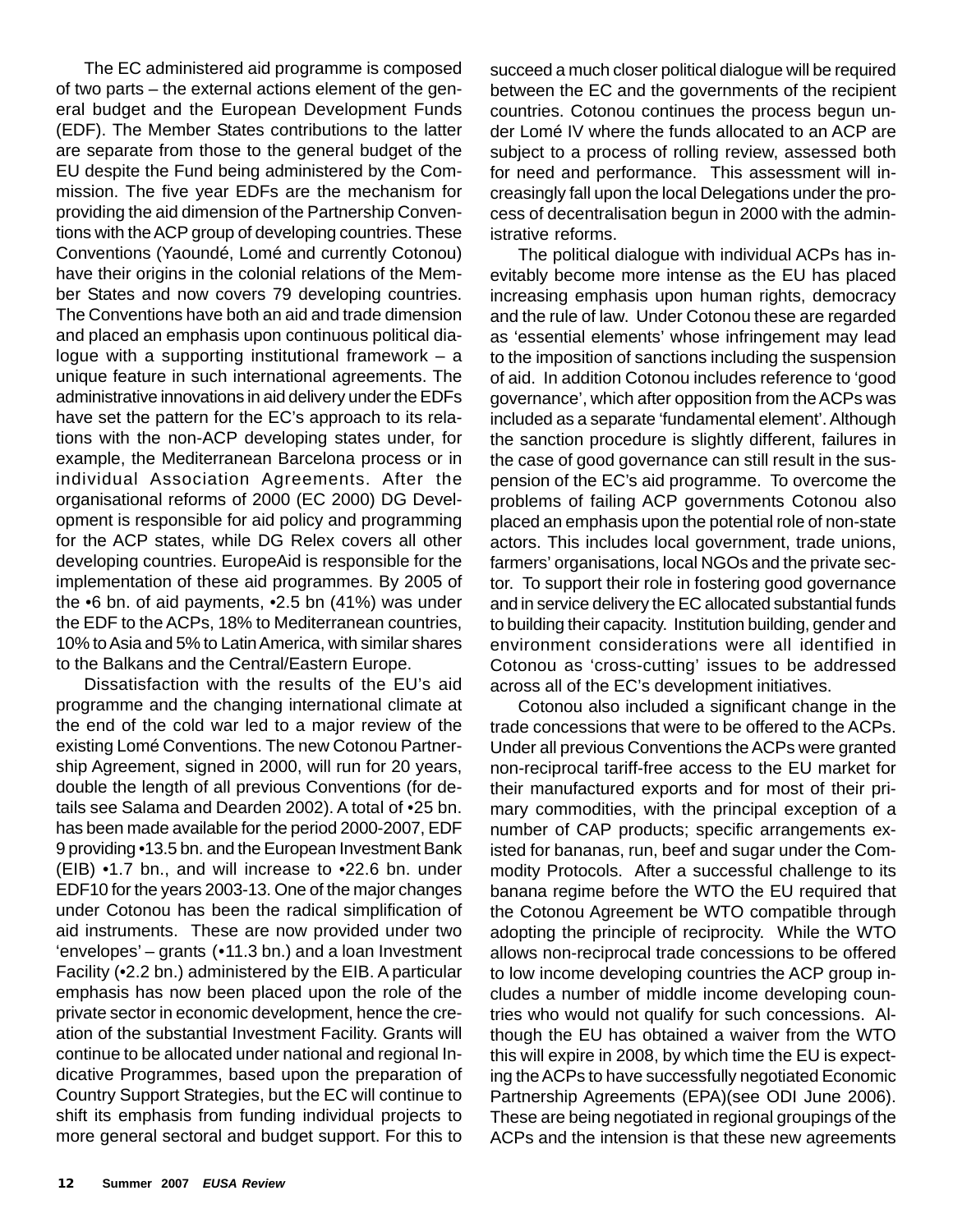The EC administered aid programme is composed of two parts – the external actions element of the general budget and the European Development Funds (EDF). The Member States contributions to the latter are separate from those to the general budget of the EU despite the Fund being administered by the Commission. The five year EDFs are the mechanism for providing the aid dimension of the Partnership Conventions with the ACP group of developing countries. These Conventions (Yaoundé, Lomé and currently Cotonou) have their origins in the colonial relations of the Member States and now covers 79 developing countries. The Conventions have both an aid and trade dimension and placed an emphasis upon continuous political dialogue with a supporting institutional framework – a unique feature in such international agreements. The administrative innovations in aid delivery under the EDFs have set the pattern for the EC's approach to its relations with the non-ACP developing states under, for example, the Mediterranean Barcelona process or in individual Association Agreements. After the organisational reforms of 2000 (EC 2000) DG Development is responsible for aid policy and programming for the ACP states, while DG Relex covers all other developing countries. EuropeAid is responsible for the implementation of these aid programmes. By 2005 of the •6 bn. of aid payments, •2.5 bn (41%) was under the EDF to the ACPs, 18% to Mediterranean countries, 10% to Asia and 5% to Latin America, with similar shares to the Balkans and the Central/Eastern Europe.

Dissatisfaction with the results of the EU's aid programme and the changing international climate at the end of the cold war led to a major review of the existing Lomé Conventions. The new Cotonou Partnership Agreement, signed in 2000, will run for 20 years, double the length of all previous Conventions (for details see Salama and Dearden 2002). A total of •25 bn. has been made available for the period 2000-2007, EDF 9 providing •13.5 bn. and the European Investment Bank (EIB) •1.7 bn., and will increase to •22.6 bn. under EDF10 for the years 2003-13. One of the major changes under Cotonou has been the radical simplification of aid instruments. These are now provided under two 'envelopes' – grants (•11.3 bn.) and a loan Investment Facility (•2.2 bn.) administered by the EIB. A particular emphasis has now been placed upon the role of the private sector in economic development, hence the creation of the substantial Investment Facility. Grants will continue to be allocated under national and regional Indicative Programmes, based upon the preparation of Country Support Strategies, but the EC will continue to shift its emphasis from funding individual projects to more general sectoral and budget support. For this to

succeed a much closer political dialogue will be required between the EC and the governments of the recipient countries. Cotonou continues the process begun under Lomé IV where the funds allocated to an ACP are subject to a process of rolling review, assessed both for need and performance. This assessment will increasingly fall upon the local Delegations under the process of decentralisation begun in 2000 with the administrative reforms.

The political dialogue with individual ACPs has inevitably become more intense as the EU has placed increasing emphasis upon human rights, democracy and the rule of law. Under Cotonou these are regarded as 'essential elements' whose infringement may lead to the imposition of sanctions including the suspension of aid. In addition Cotonou includes reference to 'good governance', which after opposition from the ACPs was included as a separate 'fundamental element'. Although the sanction procedure is slightly different, failures in the case of good governance can still result in the suspension of the EC's aid programme. To overcome the problems of failing ACP governments Cotonou also placed an emphasis upon the potential role of non-state actors. This includes local government, trade unions, farmers' organisations, local NGOs and the private sector. To support their role in fostering good governance and in service delivery the EC allocated substantial funds to building their capacity. Institution building, gender and environment considerations were all identified in Cotonou as 'cross-cutting' issues to be addressed across all of the EC's development initiatives.

Cotonou also included a significant change in the trade concessions that were to be offered to the ACPs. Under all previous Conventions the ACPs were granted non-reciprocal tariff-free access to the EU market for their manufactured exports and for most of their primary commodities, with the principal exception of a number of CAP products; specific arrangements existed for bananas, run, beef and sugar under the Commodity Protocols. After a successful challenge to its banana regime before the WTO the EU required that the Cotonou Agreement be WTO compatible through adopting the principle of reciprocity. While the WTO allows non-reciprocal trade concessions to be offered to low income developing countries the ACP group includes a number of middle income developing countries who would not qualify for such concessions. Although the EU has obtained a waiver from the WTO this will expire in 2008, by which time the EU is expecting the ACPs to have successfully negotiated Economic Partnership Agreements (EPA)(see ODI June 2006). These are being negotiated in regional groupings of the ACPs and the intension is that these new agreements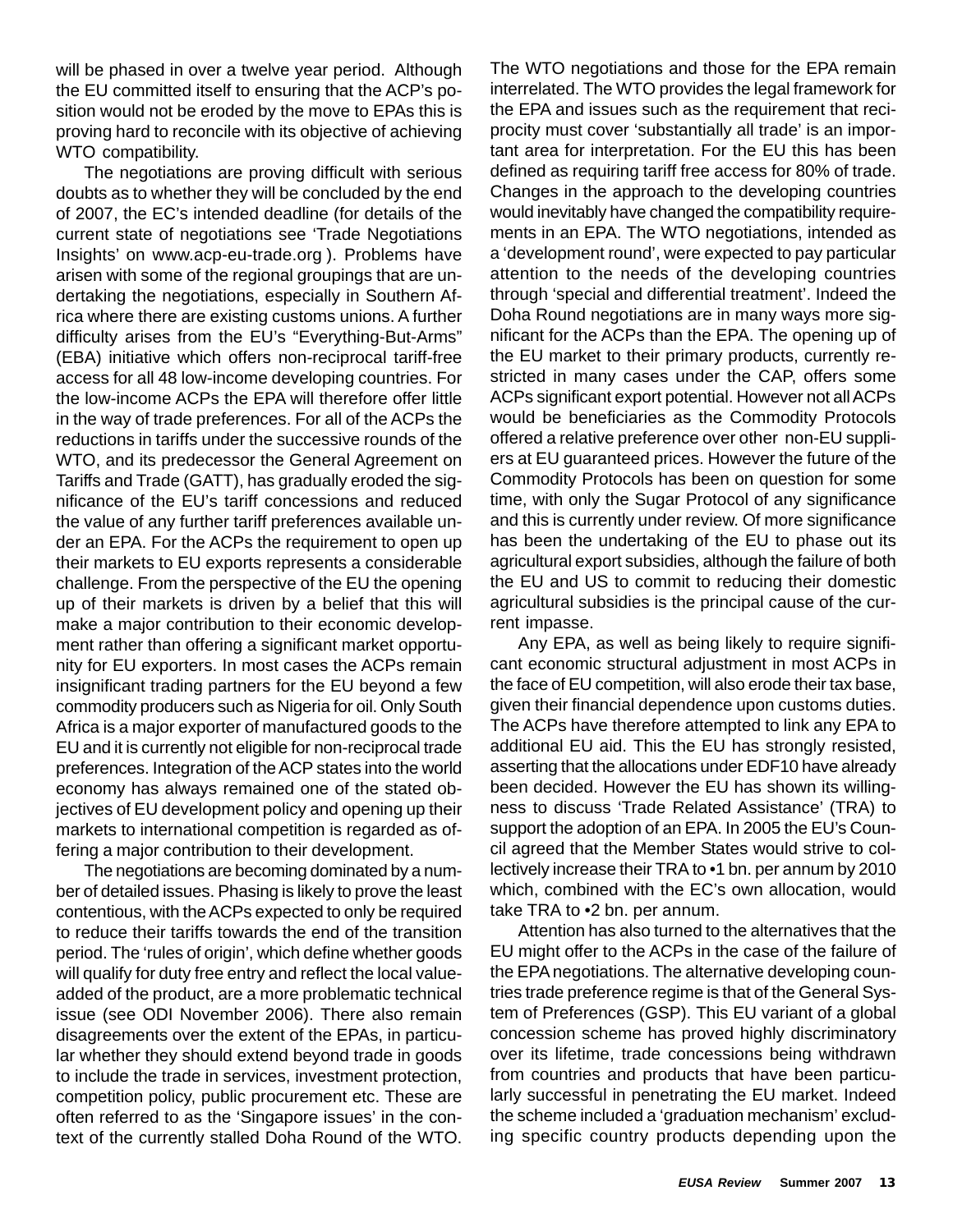will be phased in over a twelve year period. Although the EU committed itself to ensuring that the ACP's position would not be eroded by the move to EPAs this is proving hard to reconcile with its objective of achieving WTO compatibility.

The negotiations are proving difficult with serious doubts as to whether they will be concluded by the end of 2007, the EC's intended deadline (for details of the current state of negotiations see 'Trade Negotiations Insights' on www.acp-eu-trade.org ). Problems have arisen with some of the regional groupings that are undertaking the negotiations, especially in Southern Africa where there are existing customs unions. A further difficulty arises from the EU's "Everything-But-Arms" (EBA) initiative which offers non-reciprocal tariff-free access for all 48 low-income developing countries. For the low-income ACPs the EPA will therefore offer little in the way of trade preferences. For all of the ACPs the reductions in tariffs under the successive rounds of the WTO, and its predecessor the General Agreement on Tariffs and Trade (GATT), has gradually eroded the significance of the EU's tariff concessions and reduced the value of any further tariff preferences available under an EPA. For the ACPs the requirement to open up their markets to EU exports represents a considerable challenge. From the perspective of the EU the opening up of their markets is driven by a belief that this will make a major contribution to their economic development rather than offering a significant market opportunity for EU exporters. In most cases the ACPs remain insignificant trading partners for the EU beyond a few commodity producers such as Nigeria for oil. Only South Africa is a major exporter of manufactured goods to the EU and it is currently not eligible for non-reciprocal trade preferences. Integration of the ACP states into the world economy has always remained one of the stated objectives of EU development policy and opening up their markets to international competition is regarded as offering a major contribution to their development.

The negotiations are becoming dominated by a number of detailed issues. Phasing is likely to prove the least contentious, with the ACPs expected to only be required to reduce their tariffs towards the end of the transition period. The 'rules of origin', which define whether goods will qualify for duty free entry and reflect the local valueadded of the product, are a more problematic technical issue (see ODI November 2006). There also remain disagreements over the extent of the EPAs, in particular whether they should extend beyond trade in goods to include the trade in services, investment protection, competition policy, public procurement etc. These are often referred to as the 'Singapore issues' in the context of the currently stalled Doha Round of the WTO.

The WTO negotiations and those for the EPA remain interrelated. The WTO provides the legal framework for the EPA and issues such as the requirement that reciprocity must cover 'substantially all trade' is an important area for interpretation. For the EU this has been defined as requiring tariff free access for 80% of trade. Changes in the approach to the developing countries would inevitably have changed the compatibility requirements in an EPA. The WTO negotiations, intended as a 'development round', were expected to pay particular attention to the needs of the developing countries through 'special and differential treatment'. Indeed the Doha Round negotiations are in many ways more significant for the ACPs than the EPA. The opening up of the EU market to their primary products, currently restricted in many cases under the CAP, offers some ACPs significant export potential. However not all ACPs would be beneficiaries as the Commodity Protocols offered a relative preference over other non-EU suppliers at EU guaranteed prices. However the future of the Commodity Protocols has been on question for some time, with only the Sugar Protocol of any significance and this is currently under review. Of more significance has been the undertaking of the EU to phase out its agricultural export subsidies, although the failure of both the EU and US to commit to reducing their domestic agricultural subsidies is the principal cause of the current impasse.

Any EPA, as well as being likely to require significant economic structural adjustment in most ACPs in the face of EU competition, will also erode their tax base, given their financial dependence upon customs duties. The ACPs have therefore attempted to link any EPA to additional EU aid. This the EU has strongly resisted, asserting that the allocations under EDF10 have already been decided. However the EU has shown its willingness to discuss 'Trade Related Assistance' (TRA) to support the adoption of an EPA. In 2005 the EU's Council agreed that the Member States would strive to collectively increase their TRA to •1 bn. per annum by 2010 which, combined with the EC's own allocation, would take TRA to •2 bn. per annum.

Attention has also turned to the alternatives that the EU might offer to the ACPs in the case of the failure of the EPA negotiations. The alternative developing countries trade preference regime is that of the General System of Preferences (GSP). This EU variant of a global concession scheme has proved highly discriminatory over its lifetime, trade concessions being withdrawn from countries and products that have been particularly successful in penetrating the EU market. Indeed the scheme included a 'graduation mechanism' excluding specific country products depending upon the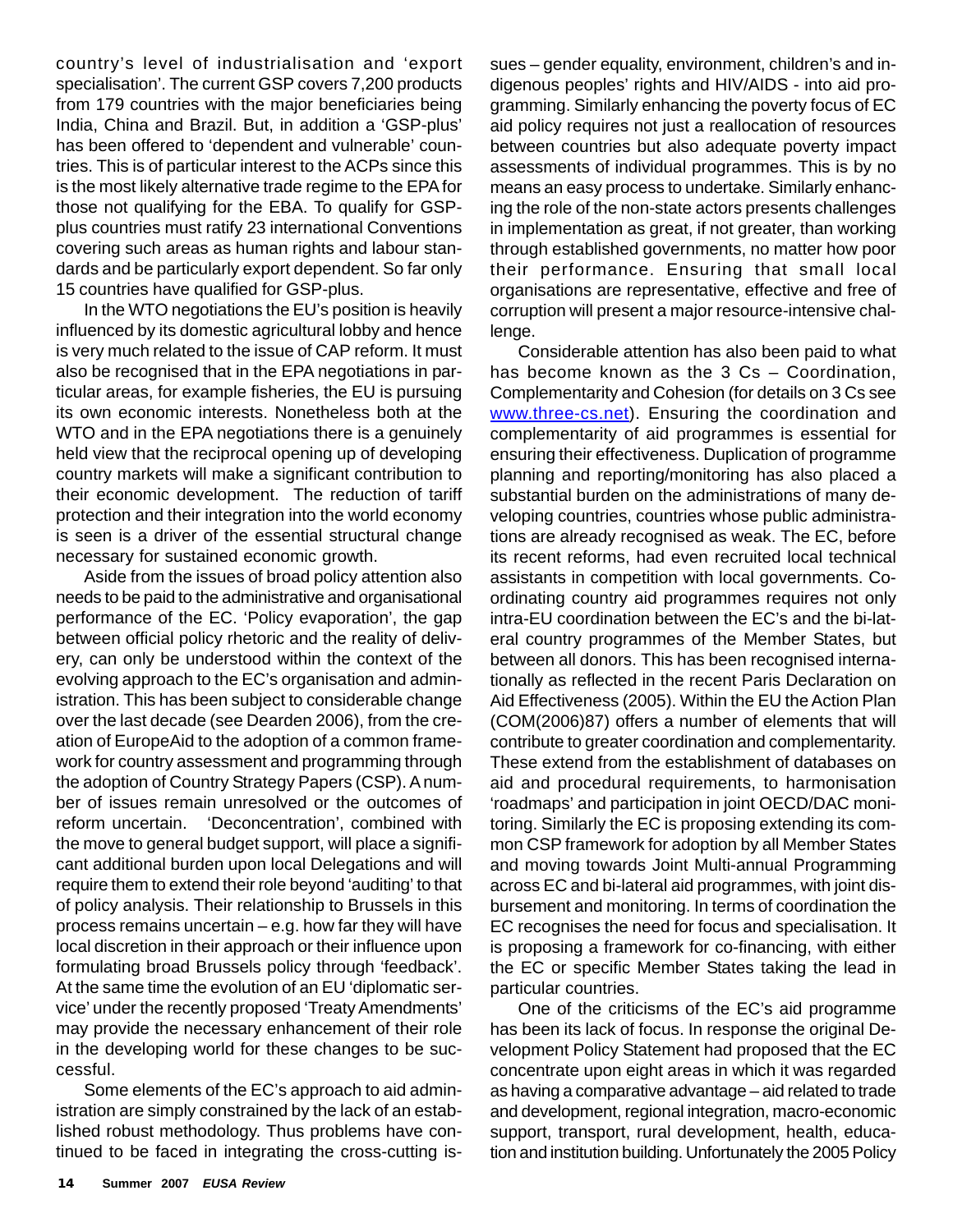country's level of industrialisation and 'export specialisation'. The current GSP covers 7,200 products from 179 countries with the major beneficiaries being India, China and Brazil. But, in addition a 'GSP-plus' has been offered to 'dependent and vulnerable' countries. This is of particular interest to the ACPs since this is the most likely alternative trade regime to the EPA for those not qualifying for the EBA. To qualify for GSPplus countries must ratify 23 international Conventions covering such areas as human rights and labour standards and be particularly export dependent. So far only 15 countries have qualified for GSP-plus.

In the WTO negotiations the EU's position is heavily influenced by its domestic agricultural lobby and hence is very much related to the issue of CAP reform. It must also be recognised that in the EPA negotiations in particular areas, for example fisheries, the EU is pursuing its own economic interests. Nonetheless both at the WTO and in the EPA negotiations there is a genuinely held view that the reciprocal opening up of developing country markets will make a significant contribution to their economic development. The reduction of tariff protection and their integration into the world economy is seen is a driver of the essential structural change necessary for sustained economic growth.

Aside from the issues of broad policy attention also needs to be paid to the administrative and organisational performance of the EC. 'Policy evaporation', the gap between official policy rhetoric and the reality of delivery, can only be understood within the context of the evolving approach to the EC's organisation and administration. This has been subject to considerable change over the last decade (see Dearden 2006), from the creation of EuropeAid to the adoption of a common framework for country assessment and programming through the adoption of Country Strategy Papers (CSP). A number of issues remain unresolved or the outcomes of reform uncertain. 'Deconcentration', combined with the move to general budget support, will place a significant additional burden upon local Delegations and will require them to extend their role beyond 'auditing' to that of policy analysis. Their relationship to Brussels in this process remains uncertain – e.g. how far they will have local discretion in their approach or their influence upon formulating broad Brussels policy through 'feedback'. At the same time the evolution of an EU 'diplomatic service' under the recently proposed 'Treaty Amendments' may provide the necessary enhancement of their role in the developing world for these changes to be successful.

Some elements of the EC's approach to aid administration are simply constrained by the lack of an established robust methodology. Thus problems have continued to be faced in integrating the cross-cutting issues – gender equality, environment, children's and indigenous peoples' rights and HIV/AIDS - into aid programming. Similarly enhancing the poverty focus of EC aid policy requires not just a reallocation of resources between countries but also adequate poverty impact assessments of individual programmes. This is by no means an easy process to undertake. Similarly enhancing the role of the non-state actors presents challenges in implementation as great, if not greater, than working through established governments, no matter how poor their performance. Ensuring that small local organisations are representative, effective and free of corruption will present a major resource-intensive challenge.

Considerable attention has also been paid to what has become known as the 3 Cs - Coordination, Complementarity and Cohesion (for details on 3 Cs see www.three-cs.net). Ensuring the coordination and complementarity of aid programmes is essential for ensuring their effectiveness. Duplication of programme planning and reporting/monitoring has also placed a substantial burden on the administrations of many developing countries, countries whose public administrations are already recognised as weak. The EC, before its recent reforms, had even recruited local technical assistants in competition with local governments. Coordinating country aid programmes requires not only intra-EU coordination between the EC's and the bi-lateral country programmes of the Member States, but between all donors. This has been recognised internationally as reflected in the recent Paris Declaration on Aid Effectiveness (2005). Within the EU the Action Plan (COM(2006)87) offers a number of elements that will contribute to greater coordination and complementarity. These extend from the establishment of databases on aid and procedural requirements, to harmonisation 'roadmaps' and participation in joint OECD/DAC monitoring. Similarly the EC is proposing extending its common CSP framework for adoption by all Member States and moving towards Joint Multi-annual Programming across EC and bi-lateral aid programmes, with joint disbursement and monitoring. In terms of coordination the EC recognises the need for focus and specialisation. It is proposing a framework for co-financing, with either the EC or specific Member States taking the lead in particular countries.

One of the criticisms of the EC's aid programme has been its lack of focus. In response the original Development Policy Statement had proposed that the EC concentrate upon eight areas in which it was regarded as having a comparative advantage – aid related to trade and development, regional integration, macro-economic support, transport, rural development, health, education and institution building. Unfortunately the 2005 Policy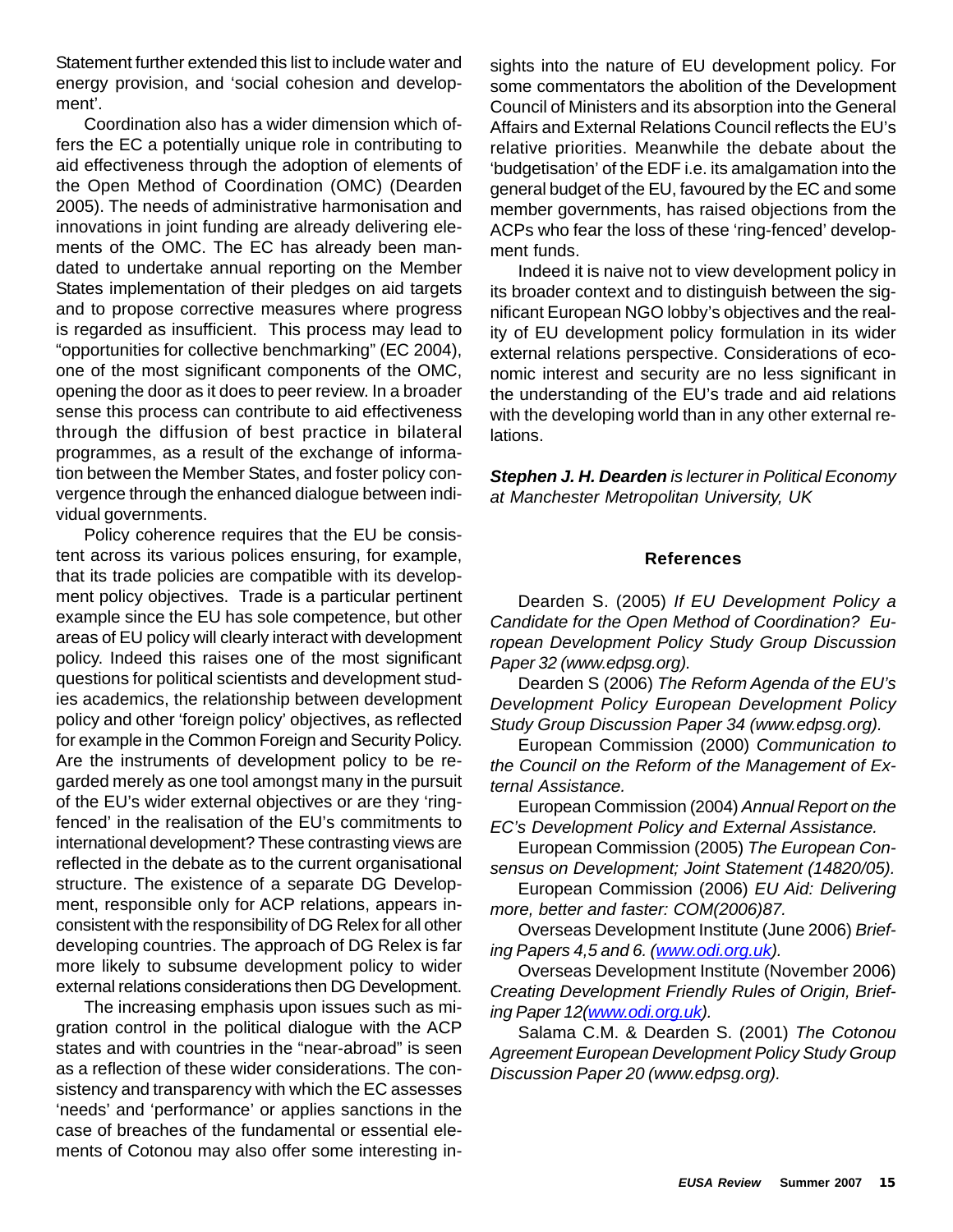Statement further extended this list to include water and energy provision, and 'social cohesion and development'.

Coordination also has a wider dimension which offers the EC a potentially unique role in contributing to aid effectiveness through the adoption of elements of the Open Method of Coordination (OMC) (Dearden 2005). The needs of administrative harmonisation and innovations in joint funding are already delivering elements of the OMC. The EC has already been mandated to undertake annual reporting on the Member States implementation of their pledges on aid targets and to propose corrective measures where progress is regarded as insufficient. This process may lead to "opportunities for collective benchmarking" (EC 2004), one of the most significant components of the OMC, opening the door as it does to peer review. In a broader sense this process can contribute to aid effectiveness through the diffusion of best practice in bilateral programmes, as a result of the exchange of information between the Member States, and foster policy convergence through the enhanced dialogue between individual governments.

Policy coherence requires that the EU be consistent across its various polices ensuring, for example, that its trade policies are compatible with its development policy objectives. Trade is a particular pertinent example since the EU has sole competence, but other areas of EU policy will clearly interact with development policy. Indeed this raises one of the most significant questions for political scientists and development studies academics, the relationship between development policy and other 'foreign policy' objectives, as reflected for example in the Common Foreign and Security Policy. Are the instruments of development policy to be regarded merely as one tool amongst many in the pursuit of the EU's wider external objectives or are they 'ringfenced' in the realisation of the EU's commitments to international development? These contrasting views are reflected in the debate as to the current organisational structure. The existence of a separate DG Development, responsible only for ACP relations, appears inconsistent with the responsibility of DG Relex for all other developing countries. The approach of DG Relex is far more likely to subsume development policy to wider external relations considerations then DG Development.

The increasing emphasis upon issues such as migration control in the political dialogue with the ACP states and with countries in the "near-abroad" is seen as a reflection of these wider considerations. The consistency and transparency with which the EC assesses 'needs' and 'performance' or applies sanctions in the case of breaches of the fundamental or essential elements of Cotonou may also offer some interesting insights into the nature of EU development policy. For some commentators the abolition of the Development Council of Ministers and its absorption into the General Affairs and External Relations Council reflects the EU's relative priorities. Meanwhile the debate about the 'budgetisation' of the EDF i.e. its amalgamation into the general budget of the EU, favoured by the EC and some member governments, has raised objections from the ACPs who fear the loss of these 'ring-fenced' development funds.

Indeed it is naive not to view development policy in its broader context and to distinguish between the significant European NGO lobby's objectives and the reality of EU development policy formulation in its wider external relations perspective. Considerations of economic interest and security are no less significant in the understanding of the EU's trade and aid relations with the developing world than in any other external relations.

*Stephen J. H. Dearden is lecturer in Political Economy at Manchester Metropolitan University, UK*

#### **References**

Dearden S. (2005) *If EU Development Policy a Candidate for the Open Method of Coordination? European Development Policy Study Group Discussion Paper 32 (www.edpsg.org).*

Dearden S (2006) *The Reform Agenda of the EU's Development Policy European Development Policy Study Group Discussion Paper 34 (www.edpsg.org).*

European Commission (2000) *Communication to the Council on the Reform of the Management of External Assistance.*

European Commission (2004) *Annual Report on the EC's Development Policy and External Assistance.*

European Commission (2005) *The European Consensus on Development; Joint Statement (14820/05).*

European Commission (2006) *EU Aid: Delivering more, better and faster: COM(2006)87.*

Overseas Development Institute (June 2006) *Briefing Papers 4,5 and 6. (www.odi.org.uk).*

Overseas Development Institute (November 2006) *Creating Development Friendly Rules of Origin, Briefing Paper 12(www.odi.org.uk).*

Salama C.M. & Dearden S. (2001) *The Cotonou Agreement European Development Policy Study Group Discussion Paper 20 (www.edpsg.org).*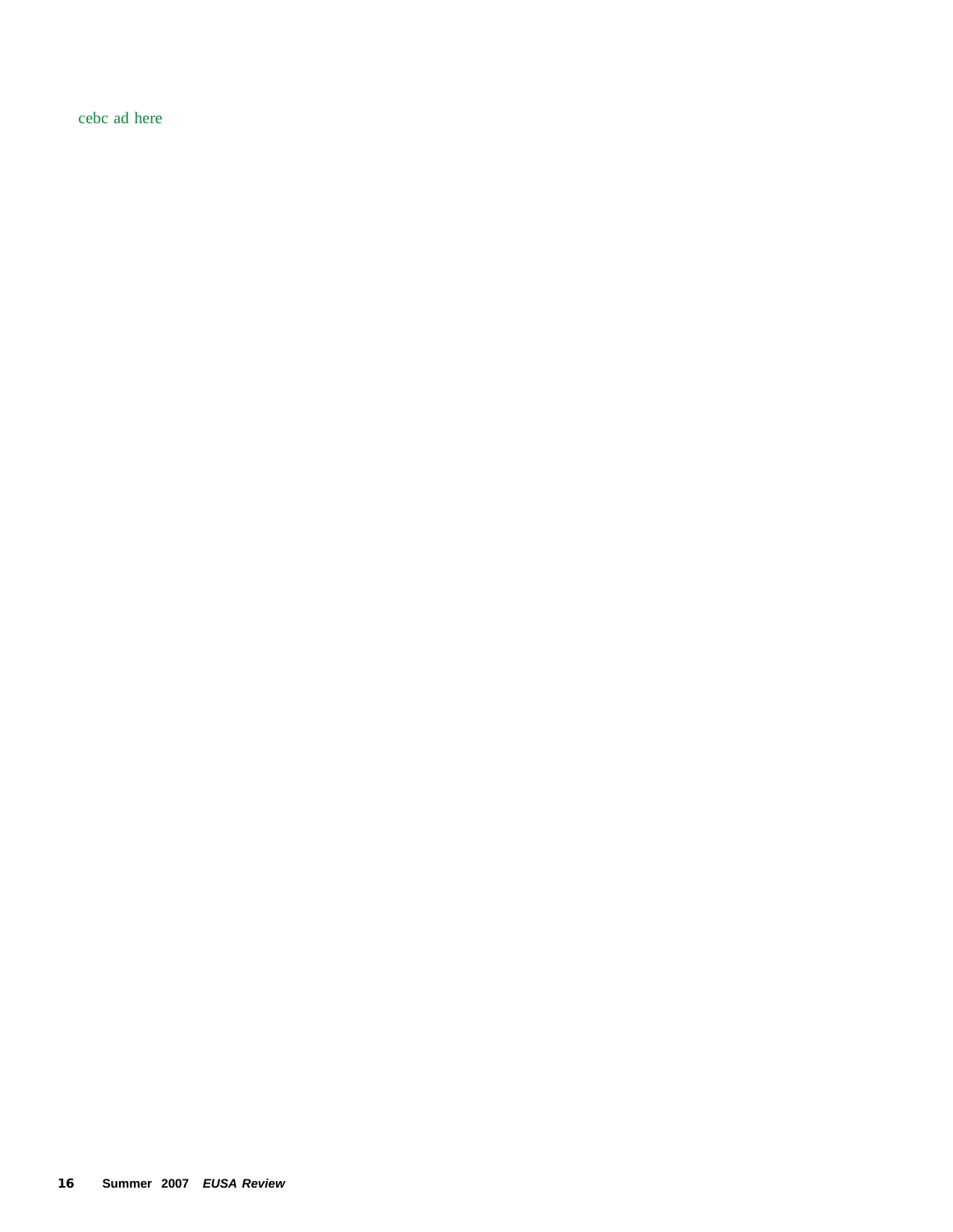cebc ad here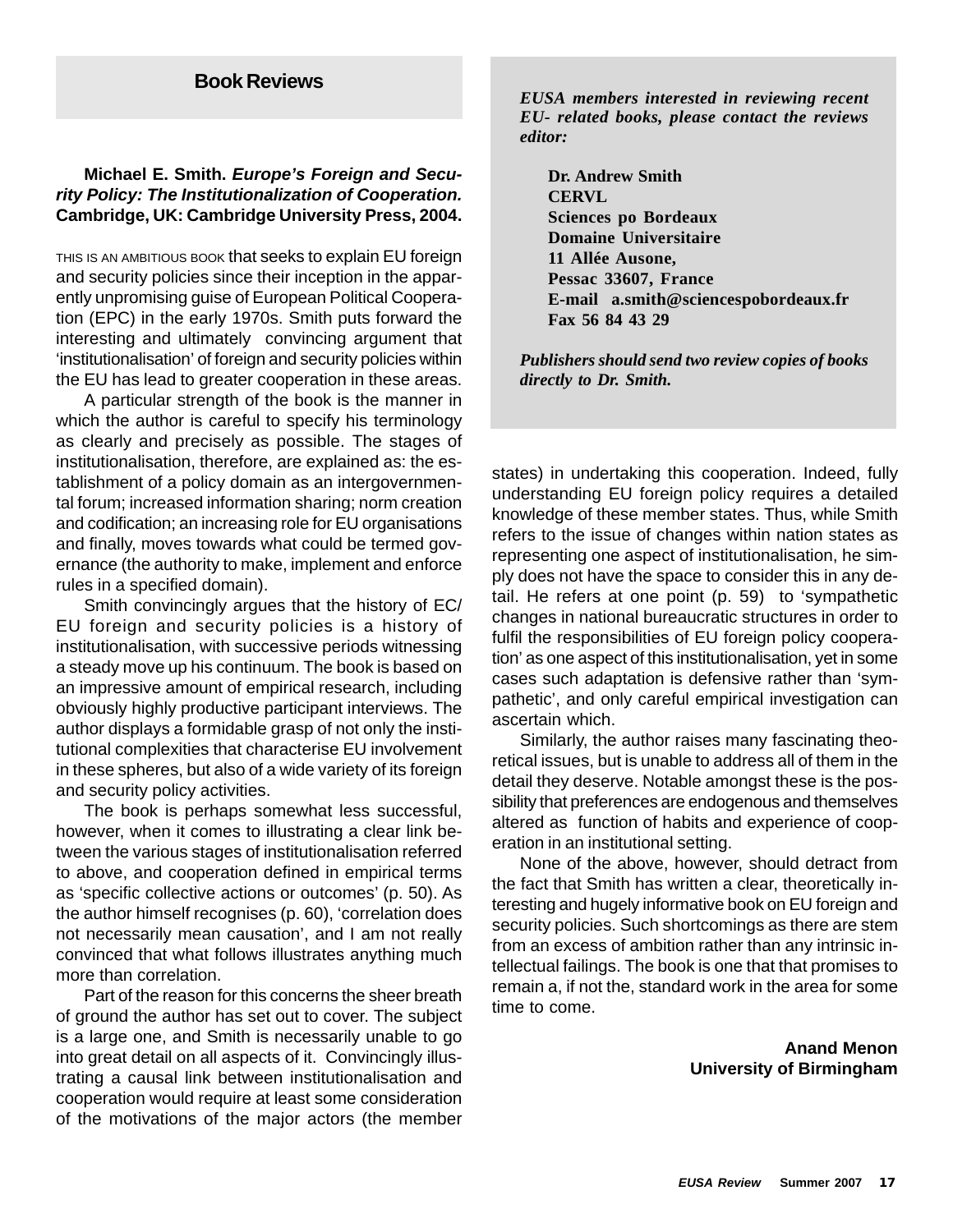## **Michael E. Smith.** *Europe's Foreign and Security Policy: The Institutionalization of Cooperation.* **Cambridge, UK: Cambridge University Press, 2004.**

THIS IS AN AMBITIOUS BOOK that seeks to explain EU foreign and security policies since their inception in the apparently unpromising guise of European Political Cooperation (EPC) in the early 1970s. Smith puts forward the interesting and ultimately convincing argument that 'institutionalisation' of foreign and security policies within the EU has lead to greater cooperation in these areas.

A particular strength of the book is the manner in which the author is careful to specify his terminology as clearly and precisely as possible. The stages of institutionalisation, therefore, are explained as: the establishment of a policy domain as an intergovernmental forum; increased information sharing; norm creation and codification; an increasing role for EU organisations and finally, moves towards what could be termed governance (the authority to make, implement and enforce rules in a specified domain).

Smith convincingly argues that the history of EC/ EU foreign and security policies is a history of institutionalisation, with successive periods witnessing a steady move up his continuum. The book is based on an impressive amount of empirical research, including obviously highly productive participant interviews. The author displays a formidable grasp of not only the institutional complexities that characterise EU involvement in these spheres, but also of a wide variety of its foreign and security policy activities.

The book is perhaps somewhat less successful, however, when it comes to illustrating a clear link between the various stages of institutionalisation referred to above, and cooperation defined in empirical terms as 'specific collective actions or outcomes' (p. 50). As the author himself recognises (p. 60), 'correlation does not necessarily mean causation', and I am not really convinced that what follows illustrates anything much more than correlation.

Part of the reason for this concerns the sheer breath of ground the author has set out to cover. The subject is a large one, and Smith is necessarily unable to go into great detail on all aspects of it. Convincingly illustrating a causal link between institutionalisation and cooperation would require at least some consideration of the motivations of the major actors (the member

*EUSA members interested in reviewing recent EU- related books, please contact the reviews editor:*

**Dr. Andrew Smith CERVL Sciences po Bordeaux Domaine Universitaire 11 Allée Ausone, Pessac 33607, France E-mail a.smith@sciencespobordeaux.fr Fax 56 84 43 29**

*Publishers should send two review copies of books directly to Dr. Smith.*

states) in undertaking this cooperation. Indeed, fully understanding EU foreign policy requires a detailed knowledge of these member states. Thus, while Smith refers to the issue of changes within nation states as representing one aspect of institutionalisation, he simply does not have the space to consider this in any detail. He refers at one point (p. 59) to 'sympathetic changes in national bureaucratic structures in order to fulfil the responsibilities of EU foreign policy cooperation' as one aspect of this institutionalisation, yet in some cases such adaptation is defensive rather than 'sympathetic', and only careful empirical investigation can ascertain which.

Similarly, the author raises many fascinating theoretical issues, but is unable to address all of them in the detail they deserve. Notable amongst these is the possibility that preferences are endogenous and themselves altered as function of habits and experience of cooperation in an institutional setting.

None of the above, however, should detract from the fact that Smith has written a clear, theoretically interesting and hugely informative book on EU foreign and security policies. Such shortcomings as there are stem from an excess of ambition rather than any intrinsic intellectual failings. The book is one that that promises to remain a, if not the, standard work in the area for some time to come.

> **Anand Menon University of Birmingham**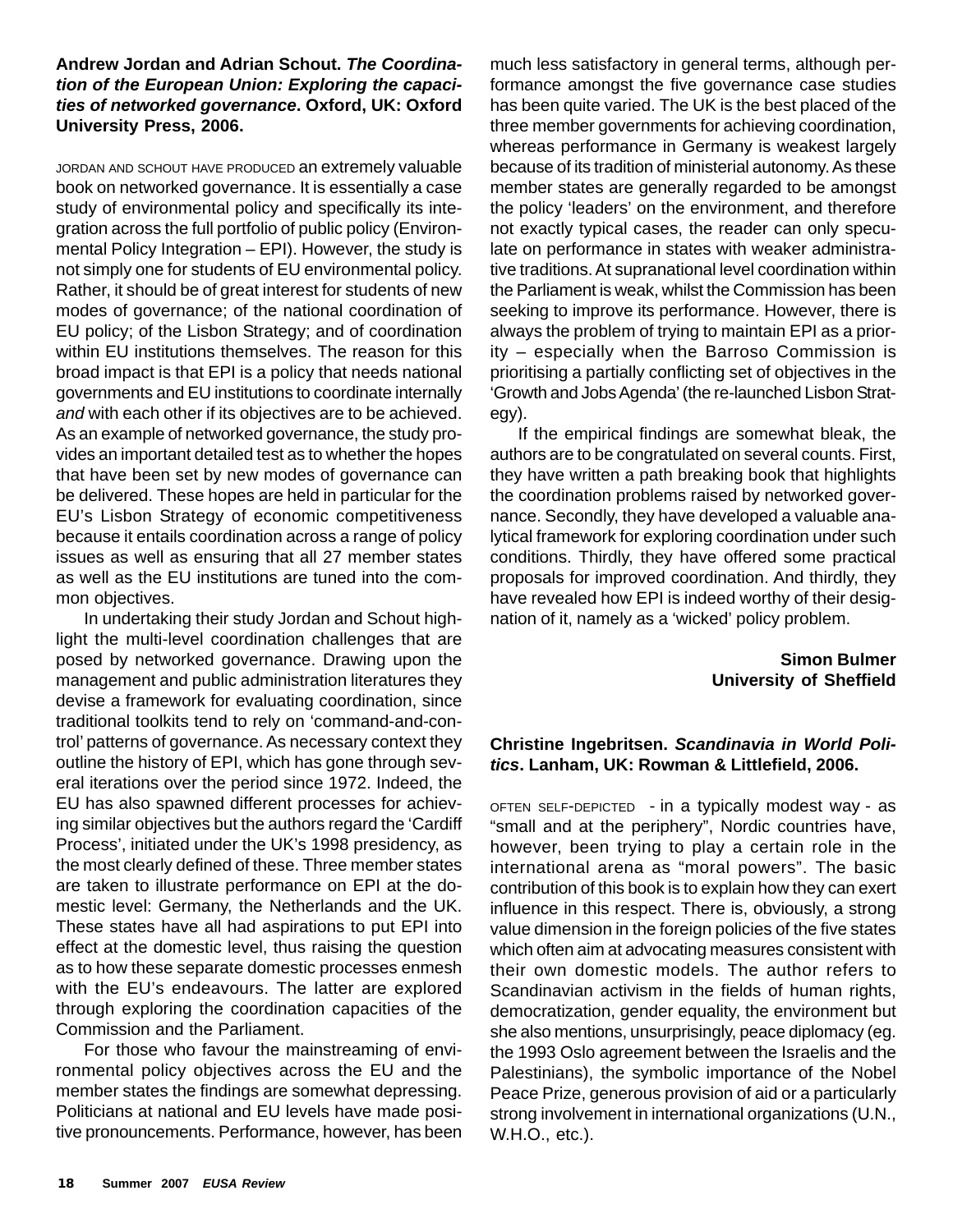## **Andrew Jordan and Adrian Schout.** *The Coordination of the European Union: Exploring the capacities of networked governance***. Oxford, UK: Oxford University Press, 2006.**

JORDAN AND SCHOUT HAVE PRODUCED an extremely valuable book on networked governance. It is essentially a case study of environmental policy and specifically its integration across the full portfolio of public policy (Environmental Policy Integration – EPI). However, the study is not simply one for students of EU environmental policy. Rather, it should be of great interest for students of new modes of governance; of the national coordination of EU policy; of the Lisbon Strategy; and of coordination within EU institutions themselves. The reason for this broad impact is that EPI is a policy that needs national governments and EU institutions to coordinate internally *and* with each other if its objectives are to be achieved. As an example of networked governance, the study provides an important detailed test as to whether the hopes that have been set by new modes of governance can be delivered. These hopes are held in particular for the EU's Lisbon Strategy of economic competitiveness because it entails coordination across a range of policy issues as well as ensuring that all 27 member states as well as the EU institutions are tuned into the common objectives.

In undertaking their study Jordan and Schout highlight the multi-level coordination challenges that are posed by networked governance. Drawing upon the management and public administration literatures they devise a framework for evaluating coordination, since traditional toolkits tend to rely on 'command-and-control' patterns of governance. As necessary context they outline the history of EPI, which has gone through several iterations over the period since 1972. Indeed, the EU has also spawned different processes for achieving similar objectives but the authors regard the 'Cardiff Process', initiated under the UK's 1998 presidency, as the most clearly defined of these. Three member states are taken to illustrate performance on EPI at the domestic level: Germany, the Netherlands and the UK. These states have all had aspirations to put EPI into effect at the domestic level, thus raising the question as to how these separate domestic processes enmesh with the EU's endeavours. The latter are explored through exploring the coordination capacities of the Commission and the Parliament.

For those who favour the mainstreaming of environmental policy objectives across the EU and the member states the findings are somewhat depressing. Politicians at national and EU levels have made positive pronouncements. Performance, however, has been much less satisfactory in general terms, although performance amongst the five governance case studies has been quite varied. The UK is the best placed of the three member governments for achieving coordination, whereas performance in Germany is weakest largely because of its tradition of ministerial autonomy. As these member states are generally regarded to be amongst the policy 'leaders' on the environment, and therefore not exactly typical cases, the reader can only speculate on performance in states with weaker administrative traditions. At supranational level coordination within the Parliament is weak, whilst the Commission has been seeking to improve its performance. However, there is always the problem of trying to maintain EPI as a priority – especially when the Barroso Commission is prioritising a partially conflicting set of objectives in the 'Growth and Jobs Agenda' (the re-launched Lisbon Strategy).

If the empirical findings are somewhat bleak, the authors are to be congratulated on several counts. First, they have written a path breaking book that highlights the coordination problems raised by networked governance. Secondly, they have developed a valuable analytical framework for exploring coordination under such conditions. Thirdly, they have offered some practical proposals for improved coordination. And thirdly, they have revealed how EPI is indeed worthy of their designation of it, namely as a 'wicked' policy problem.

> **Simon Bulmer University of Sheffield**

## **Christine Ingebritsen.** *Scandinavia in World Politics***. Lanham, UK: Rowman & Littlefield, 2006.**

OFTEN SELF-DEPICTED - in a typically modest way - as "small and at the periphery", Nordic countries have, however, been trying to play a certain role in the international arena as "moral powers". The basic contribution of this book is to explain how they can exert influence in this respect. There is, obviously, a strong value dimension in the foreign policies of the five states which often aim at advocating measures consistent with their own domestic models. The author refers to Scandinavian activism in the fields of human rights, democratization, gender equality, the environment but she also mentions, unsurprisingly, peace diplomacy (eg. the 1993 Oslo agreement between the Israelis and the Palestinians), the symbolic importance of the Nobel Peace Prize, generous provision of aid or a particularly strong involvement in international organizations (U.N., W.H.O., etc.).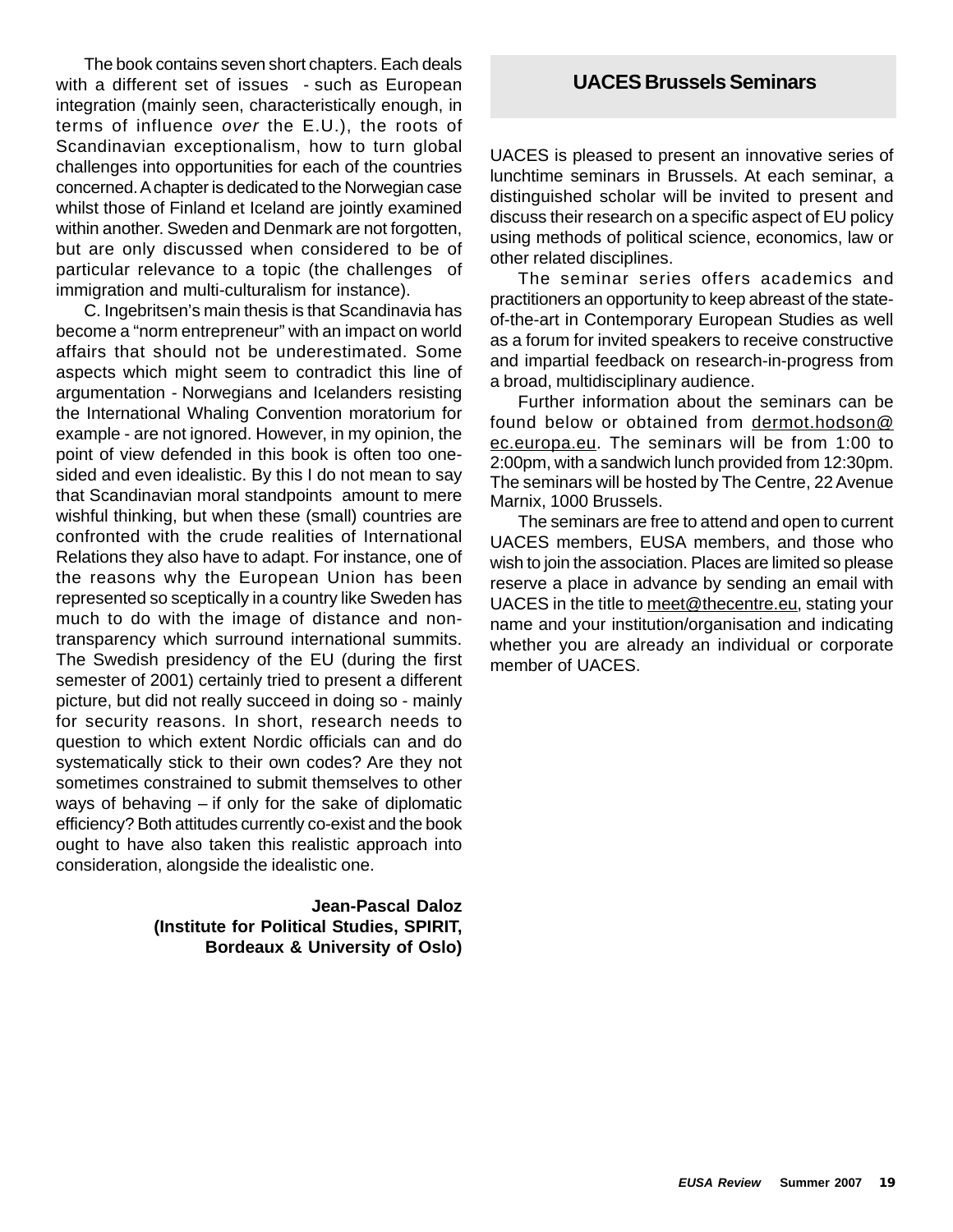The book contains seven short chapters. Each deals with a different set of issues - such as European integration (mainly seen, characteristically enough, in terms of influence *over* the E.U.), the roots of Scandinavian exceptionalism, how to turn global challenges into opportunities for each of the countries concerned. A chapter is dedicated to the Norwegian case whilst those of Finland et Iceland are jointly examined within another. Sweden and Denmark are not forgotten, but are only discussed when considered to be of particular relevance to a topic (the challenges of immigration and multi-culturalism for instance).

C. Ingebritsen's main thesis is that Scandinavia has become a "norm entrepreneur" with an impact on world affairs that should not be underestimated. Some aspects which might seem to contradict this line of argumentation - Norwegians and Icelanders resisting the International Whaling Convention moratorium for example - are not ignored. However, in my opinion, the point of view defended in this book is often too onesided and even idealistic. By this I do not mean to say that Scandinavian moral standpoints amount to mere wishful thinking, but when these (small) countries are confronted with the crude realities of International Relations they also have to adapt. For instance, one of the reasons why the European Union has been represented so sceptically in a country like Sweden has much to do with the image of distance and nontransparency which surround international summits. The Swedish presidency of the EU (during the first semester of 2001) certainly tried to present a different picture, but did not really succeed in doing so - mainly for security reasons. In short, research needs to question to which extent Nordic officials can and do systematically stick to their own codes? Are they not sometimes constrained to submit themselves to other ways of behaving – if only for the sake of diplomatic efficiency? Both attitudes currently co-exist and the book ought to have also taken this realistic approach into consideration, alongside the idealistic one.

> **Jean-Pascal Daloz (Institute for Political Studies, SPIRIT, Bordeaux & University of Oslo)**

# **UACES Brussels Seminars**

UACES is pleased to present an innovative series of lunchtime seminars in Brussels. At each seminar, a distinguished scholar will be invited to present and discuss their research on a specific aspect of EU policy using methods of political science, economics, law or other related disciplines.

The seminar series offers academics and practitioners an opportunity to keep abreast of the stateof-the-art in Contemporary European Studies as well as a forum for invited speakers to receive constructive and impartial feedback on research-in-progress from a broad, multidisciplinary audience.

Further information about the seminars can be found below or obtained from dermot.hodson@ ec.europa.eu. The seminars will be from 1:00 to 2:00pm, with a sandwich lunch provided from 12:30pm. The seminars will be hosted by The Centre, 22 Avenue Marnix, 1000 Brussels.

The seminars are free to attend and open to current UACES members, EUSA members, and those who wish to join the association. Places are limited so please reserve a place in advance by sending an email with UACES in the title to meet@thecentre.eu, stating your name and your institution/organisation and indicating whether you are already an individual or corporate member of UACES.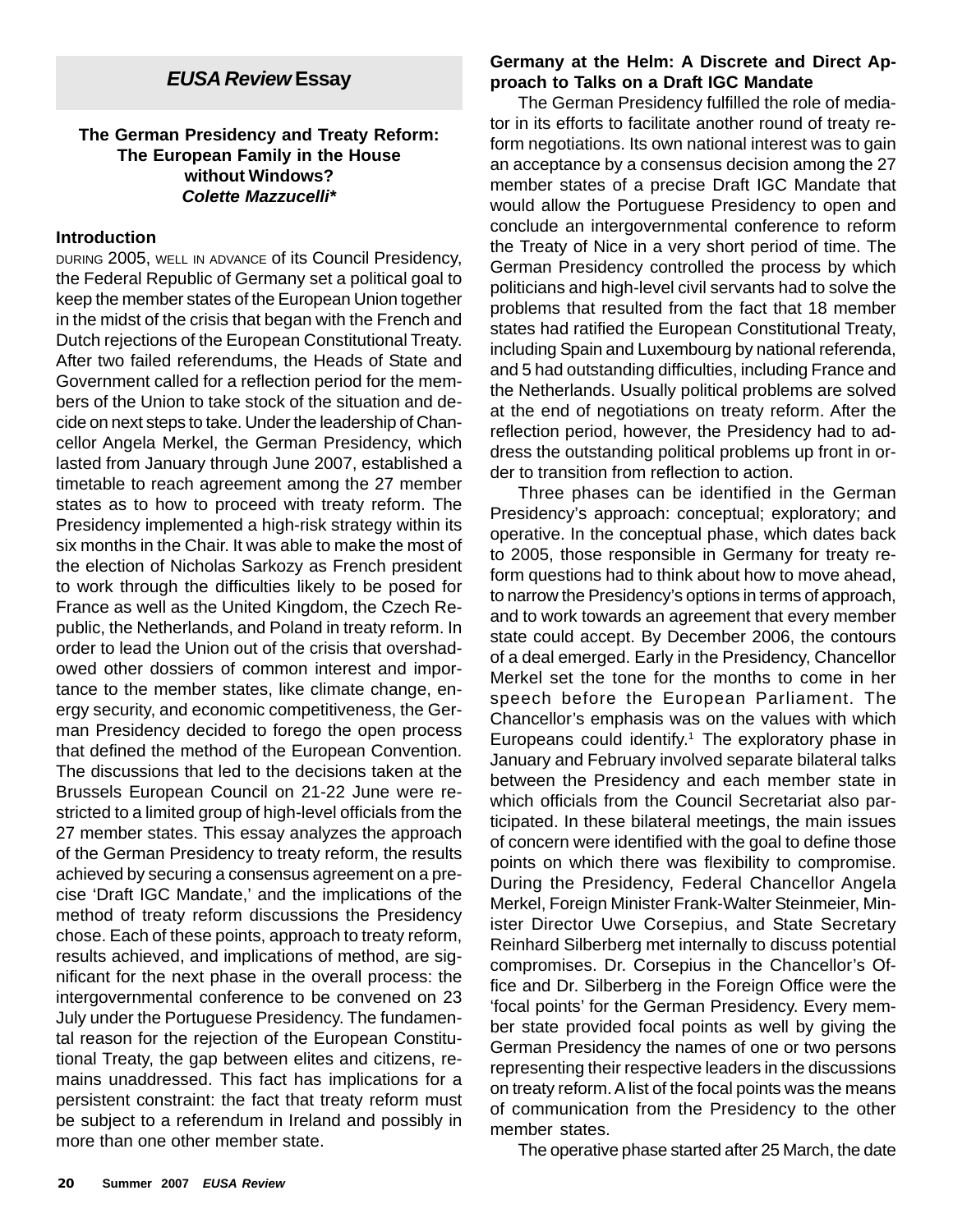# *EUSA Review* **Essay**

## **The German Presidency and Treaty Reform: The European Family in the House without Windows?** *Colette Mazzucelli\**

#### **Introduction**

DURING 2005, WELL IN ADVANCE of its Council Presidency, the Federal Republic of Germany set a political goal to keep the member states of the European Union together in the midst of the crisis that began with the French and Dutch rejections of the European Constitutional Treaty. After two failed referendums, the Heads of State and Government called for a reflection period for the members of the Union to take stock of the situation and decide on next steps to take. Under the leadership of Chancellor Angela Merkel, the German Presidency, which lasted from January through June 2007, established a timetable to reach agreement among the 27 member states as to how to proceed with treaty reform. The Presidency implemented a high-risk strategy within its six months in the Chair. It was able to make the most of the election of Nicholas Sarkozy as French president to work through the difficulties likely to be posed for France as well as the United Kingdom, the Czech Republic, the Netherlands, and Poland in treaty reform. In order to lead the Union out of the crisis that overshadowed other dossiers of common interest and importance to the member states, like climate change, energy security, and economic competitiveness, the German Presidency decided to forego the open process that defined the method of the European Convention. The discussions that led to the decisions taken at the Brussels European Council on 21-22 June were restricted to a limited group of high-level officials from the 27 member states. This essay analyzes the approach of the German Presidency to treaty reform, the results achieved by securing a consensus agreement on a precise 'Draft IGC Mandate,' and the implications of the method of treaty reform discussions the Presidency chose. Each of these points, approach to treaty reform, results achieved, and implications of method, are significant for the next phase in the overall process: the intergovernmental conference to be convened on 23 July under the Portuguese Presidency. The fundamental reason for the rejection of the European Constitutional Treaty, the gap between elites and citizens, remains unaddressed. This fact has implications for a persistent constraint: the fact that treaty reform must be subject to a referendum in Ireland and possibly in more than one other member state.

## **Germany at the Helm: A Discrete and Direct Approach to Talks on a Draft IGC Mandate**

The German Presidency fulfilled the role of mediator in its efforts to facilitate another round of treaty reform negotiations. Its own national interest was to gain an acceptance by a consensus decision among the 27 member states of a precise Draft IGC Mandate that would allow the Portuguese Presidency to open and conclude an intergovernmental conference to reform the Treaty of Nice in a very short period of time. The German Presidency controlled the process by which politicians and high-level civil servants had to solve the problems that resulted from the fact that 18 member states had ratified the European Constitutional Treaty, including Spain and Luxembourg by national referenda, and 5 had outstanding difficulties, including France and the Netherlands. Usually political problems are solved at the end of negotiations on treaty reform. After the reflection period, however, the Presidency had to address the outstanding political problems up front in order to transition from reflection to action.

Three phases can be identified in the German Presidency's approach: conceptual; exploratory; and operative. In the conceptual phase, which dates back to 2005, those responsible in Germany for treaty reform questions had to think about how to move ahead, to narrow the Presidency's options in terms of approach, and to work towards an agreement that every member state could accept. By December 2006, the contours of a deal emerged. Early in the Presidency, Chancellor Merkel set the tone for the months to come in her speech before the European Parliament. The Chancellor's emphasis was on the values with which Europeans could identify.<sup>1</sup> The exploratory phase in January and February involved separate bilateral talks between the Presidency and each member state in which officials from the Council Secretariat also participated. In these bilateral meetings, the main issues of concern were identified with the goal to define those points on which there was flexibility to compromise. During the Presidency, Federal Chancellor Angela Merkel, Foreign Minister Frank-Walter Steinmeier, Minister Director Uwe Corsepius, and State Secretary Reinhard Silberberg met internally to discuss potential compromises. Dr. Corsepius in the Chancellor's Office and Dr. Silberberg in the Foreign Office were the 'focal points' for the German Presidency. Every member state provided focal points as well by giving the German Presidency the names of one or two persons representing their respective leaders in the discussions on treaty reform. A list of the focal points was the means of communication from the Presidency to the other member states.

The operative phase started after 25 March, the date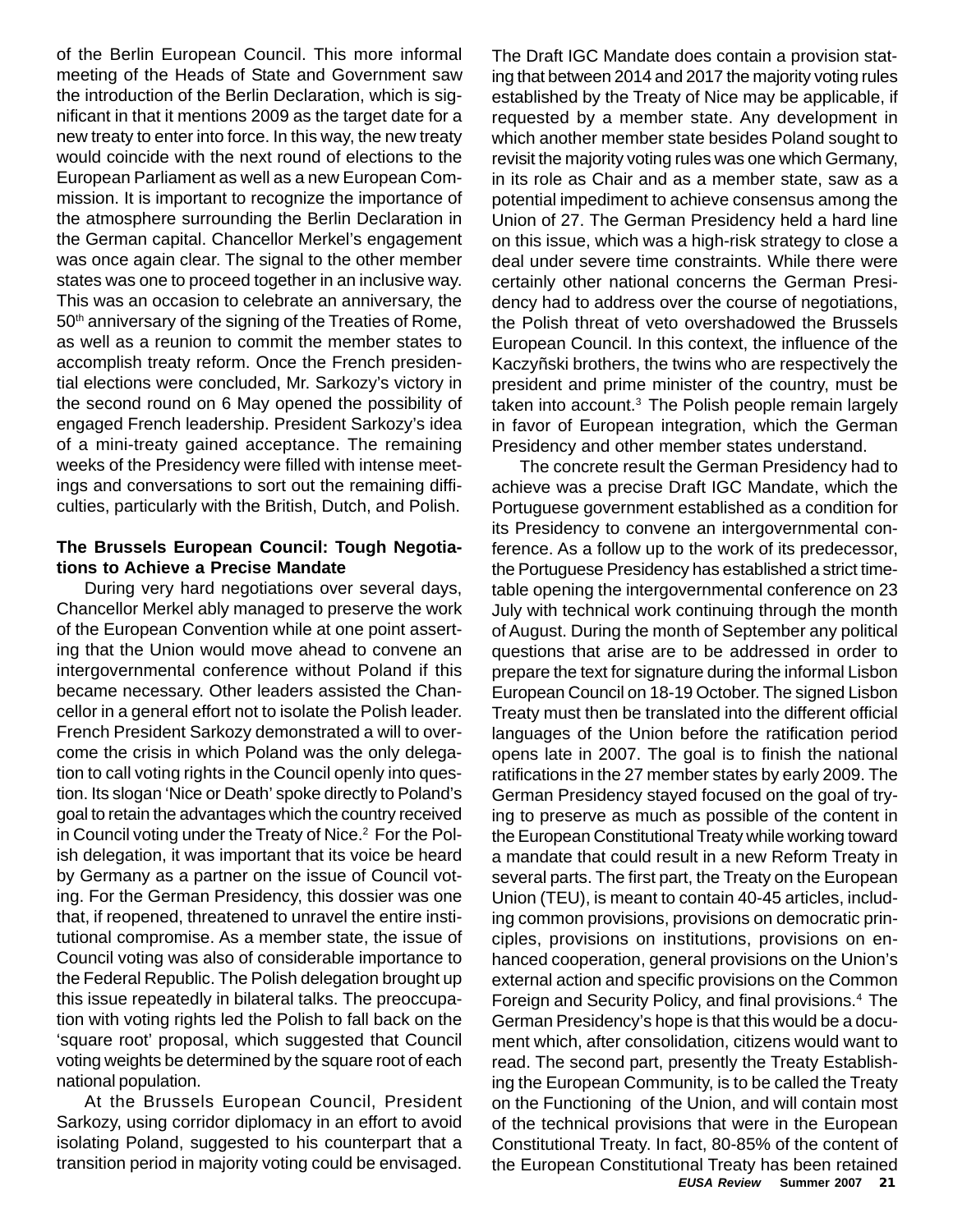of the Berlin European Council. This more informal meeting of the Heads of State and Government saw the introduction of the Berlin Declaration, which is significant in that it mentions 2009 as the target date for a new treaty to enter into force. In this way, the new treaty would coincide with the next round of elections to the European Parliament as well as a new European Commission. It is important to recognize the importance of the atmosphere surrounding the Berlin Declaration in the German capital. Chancellor Merkel's engagement was once again clear. The signal to the other member states was one to proceed together in an inclusive way. This was an occasion to celebrate an anniversary, the 50<sup>th</sup> anniversary of the signing of the Treaties of Rome, as well as a reunion to commit the member states to accomplish treaty reform. Once the French presidential elections were concluded, Mr. Sarkozy's victory in the second round on 6 May opened the possibility of engaged French leadership. President Sarkozy's idea of a mini-treaty gained acceptance. The remaining weeks of the Presidency were filled with intense meetings and conversations to sort out the remaining difficulties, particularly with the British, Dutch, and Polish.

## **The Brussels European Council: Tough Negotiations to Achieve a Precise Mandate**

During very hard negotiations over several days, Chancellor Merkel ably managed to preserve the work of the European Convention while at one point asserting that the Union would move ahead to convene an intergovernmental conference without Poland if this became necessary. Other leaders assisted the Chancellor in a general effort not to isolate the Polish leader. French President Sarkozy demonstrated a will to overcome the crisis in which Poland was the only delegation to call voting rights in the Council openly into question. Its slogan 'Nice or Death' spoke directly to Poland's goal to retain the advantages which the country received in Council voting under the Treaty of Nice.<sup>2</sup> For the Polish delegation, it was important that its voice be heard by Germany as a partner on the issue of Council voting. For the German Presidency, this dossier was one that, if reopened, threatened to unravel the entire institutional compromise. As a member state, the issue of Council voting was also of considerable importance to the Federal Republic. The Polish delegation brought up this issue repeatedly in bilateral talks. The preoccupation with voting rights led the Polish to fall back on the 'square root' proposal, which suggested that Council voting weights be determined by the square root of each national population.

At the Brussels European Council, President Sarkozy, using corridor diplomacy in an effort to avoid isolating Poland, suggested to his counterpart that a transition period in majority voting could be envisaged.

The Draft IGC Mandate does contain a provision stating that between 2014 and 2017 the majority voting rules established by the Treaty of Nice may be applicable, if requested by a member state. Any development in which another member state besides Poland sought to revisit the majority voting rules was one which Germany, in its role as Chair and as a member state, saw as a potential impediment to achieve consensus among the Union of 27. The German Presidency held a hard line on this issue, which was a high-risk strategy to close a deal under severe time constraints. While there were certainly other national concerns the German Presidency had to address over the course of negotiations, the Polish threat of veto overshadowed the Brussels European Council. In this context, the influence of the Kaczyñski brothers, the twins who are respectively the president and prime minister of the country, must be taken into account. $3$  The Polish people remain largely in favor of European integration, which the German Presidency and other member states understand.

*EUSA Review* **Summer 2007 21** The concrete result the German Presidency had to achieve was a precise Draft IGC Mandate, which the Portuguese government established as a condition for its Presidency to convene an intergovernmental conference. As a follow up to the work of its predecessor, the Portuguese Presidency has established a strict timetable opening the intergovernmental conference on 23 July with technical work continuing through the month of August. During the month of September any political questions that arise are to be addressed in order to prepare the text for signature during the informal Lisbon European Council on 18-19 October. The signed Lisbon Treaty must then be translated into the different official languages of the Union before the ratification period opens late in 2007. The goal is to finish the national ratifications in the 27 member states by early 2009. The German Presidency stayed focused on the goal of trying to preserve as much as possible of the content in the European Constitutional Treaty while working toward a mandate that could result in a new Reform Treaty in several parts. The first part, the Treaty on the European Union (TEU), is meant to contain 40-45 articles, including common provisions, provisions on democratic principles, provisions on institutions, provisions on enhanced cooperation, general provisions on the Union's external action and specific provisions on the Common Foreign and Security Policy, and final provisions.4 The German Presidency's hope is that this would be a document which, after consolidation, citizens would want to read. The second part, presently the Treaty Establishing the European Community, is to be called the Treaty on the Functioning of the Union, and will contain most of the technical provisions that were in the European Constitutional Treaty. In fact, 80-85% of the content of the European Constitutional Treaty has been retained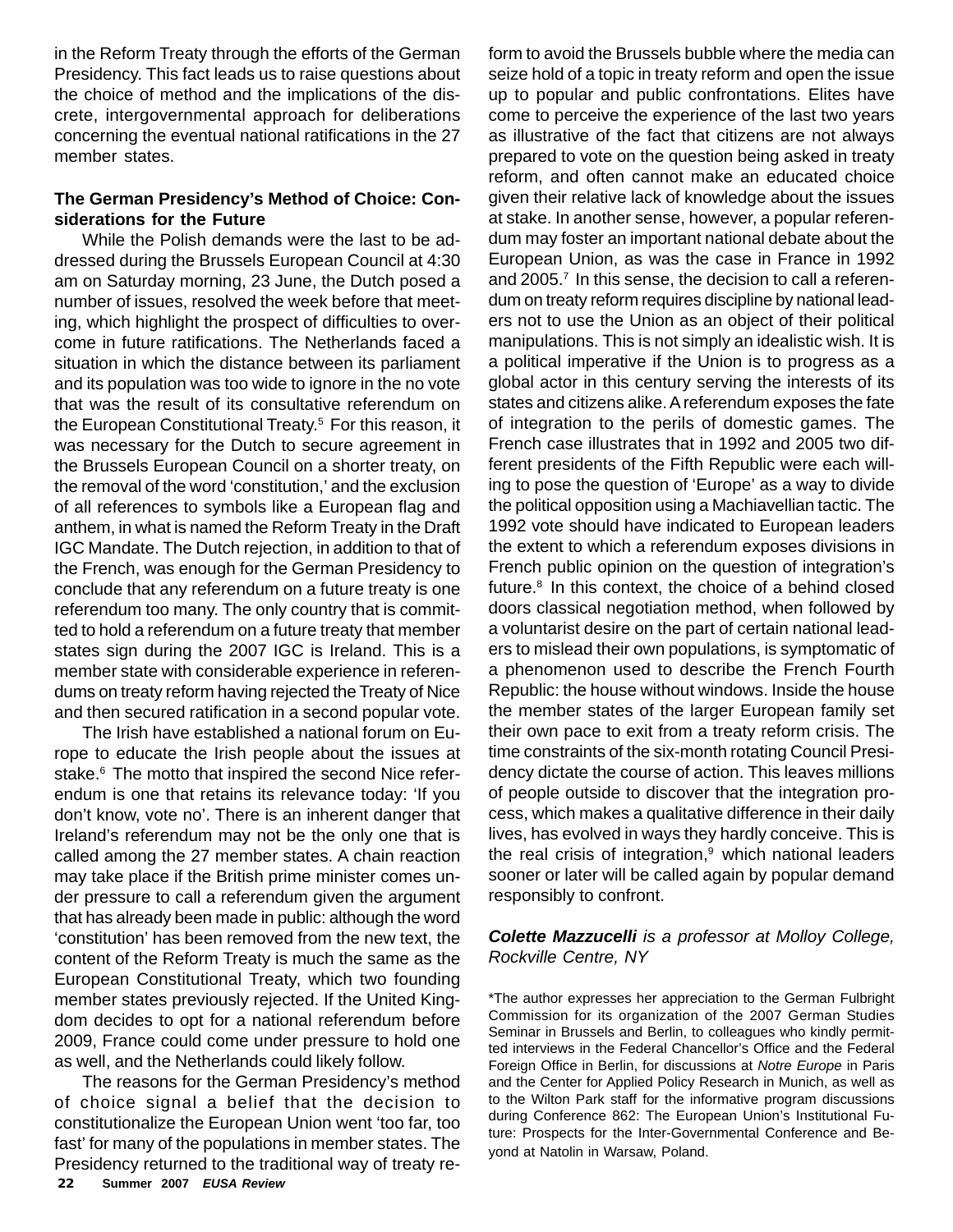in the Reform Treaty through the efforts of the German Presidency. This fact leads us to raise questions about the choice of method and the implications of the discrete, intergovernmental approach for deliberations concerning the eventual national ratifications in the 27 member states.

## **The German Presidency's Method of Choice: Considerations for the Future**

While the Polish demands were the last to be addressed during the Brussels European Council at 4:30 am on Saturday morning, 23 June, the Dutch posed a number of issues, resolved the week before that meeting, which highlight the prospect of difficulties to overcome in future ratifications. The Netherlands faced a situation in which the distance between its parliament and its population was too wide to ignore in the no vote that was the result of its consultative referendum on the European Constitutional Treaty.5 For this reason, it was necessary for the Dutch to secure agreement in the Brussels European Council on a shorter treaty, on the removal of the word 'constitution,' and the exclusion of all references to symbols like a European flag and anthem, in what is named the Reform Treaty in the Draft IGC Mandate. The Dutch rejection, in addition to that of the French, was enough for the German Presidency to conclude that any referendum on a future treaty is one referendum too many. The only country that is committed to hold a referendum on a future treaty that member states sign during the 2007 IGC is Ireland. This is a member state with considerable experience in referendums on treaty reform having rejected the Treaty of Nice and then secured ratification in a second popular vote.

The Irish have established a national forum on Europe to educate the Irish people about the issues at stake.<sup>6</sup> The motto that inspired the second Nice referendum is one that retains its relevance today: 'If you don't know, vote no'. There is an inherent danger that Ireland's referendum may not be the only one that is called among the 27 member states. A chain reaction may take place if the British prime minister comes under pressure to call a referendum given the argument that has already been made in public: although the word 'constitution' has been removed from the new text, the content of the Reform Treaty is much the same as the European Constitutional Treaty, which two founding member states previously rejected. If the United Kingdom decides to opt for a national referendum before 2009, France could come under pressure to hold one as well, and the Netherlands could likely follow.

**22 Summer 2007** *EUSA Review* The reasons for the German Presidency's method of choice signal a belief that the decision to constitutionalize the European Union went 'too far, too fast' for many of the populations in member states. The Presidency returned to the traditional way of treaty reform to avoid the Brussels bubble where the media can seize hold of a topic in treaty reform and open the issue up to popular and public confrontations. Elites have come to perceive the experience of the last two years as illustrative of the fact that citizens are not always prepared to vote on the question being asked in treaty reform, and often cannot make an educated choice given their relative lack of knowledge about the issues at stake. In another sense, however, a popular referendum may foster an important national debate about the European Union, as was the case in France in 1992 and 2005.<sup>7</sup> In this sense, the decision to call a referendum on treaty reform requires discipline by national leaders not to use the Union as an object of their political manipulations. This is not simply an idealistic wish. It is a political imperative if the Union is to progress as a global actor in this century serving the interests of its states and citizens alike. A referendum exposes the fate of integration to the perils of domestic games. The French case illustrates that in 1992 and 2005 two different presidents of the Fifth Republic were each willing to pose the question of 'Europe' as a way to divide the political opposition using a Machiavellian tactic. The 1992 vote should have indicated to European leaders the extent to which a referendum exposes divisions in French public opinion on the question of integration's future. $8$  In this context, the choice of a behind closed doors classical negotiation method, when followed by a voluntarist desire on the part of certain national leaders to mislead their own populations, is symptomatic of a phenomenon used to describe the French Fourth Republic: the house without windows. Inside the house the member states of the larger European family set their own pace to exit from a treaty reform crisis. The time constraints of the six-month rotating Council Presidency dictate the course of action. This leaves millions of people outside to discover that the integration process, which makes a qualitative difference in their daily lives, has evolved in ways they hardly conceive. This is the real crisis of integration, $9$  which national leaders sooner or later will be called again by popular demand responsibly to confront.

## *Colette Mazzucelli is a professor at Molloy College, Rockville Centre, NY*

\*The author expresses her appreciation to the German Fulbright Commission for its organization of the 2007 German Studies Seminar in Brussels and Berlin, to colleagues who kindly permitted interviews in the Federal Chancellor's Office and the Federal Foreign Office in Berlin, for discussions at *Notre Europe* in Paris and the Center for Applied Policy Research in Munich, as well as to the Wilton Park staff for the informative program discussions during Conference 862: The European Union's Institutional Future: Prospects for the Inter-Governmental Conference and Beyond at Natolin in Warsaw, Poland.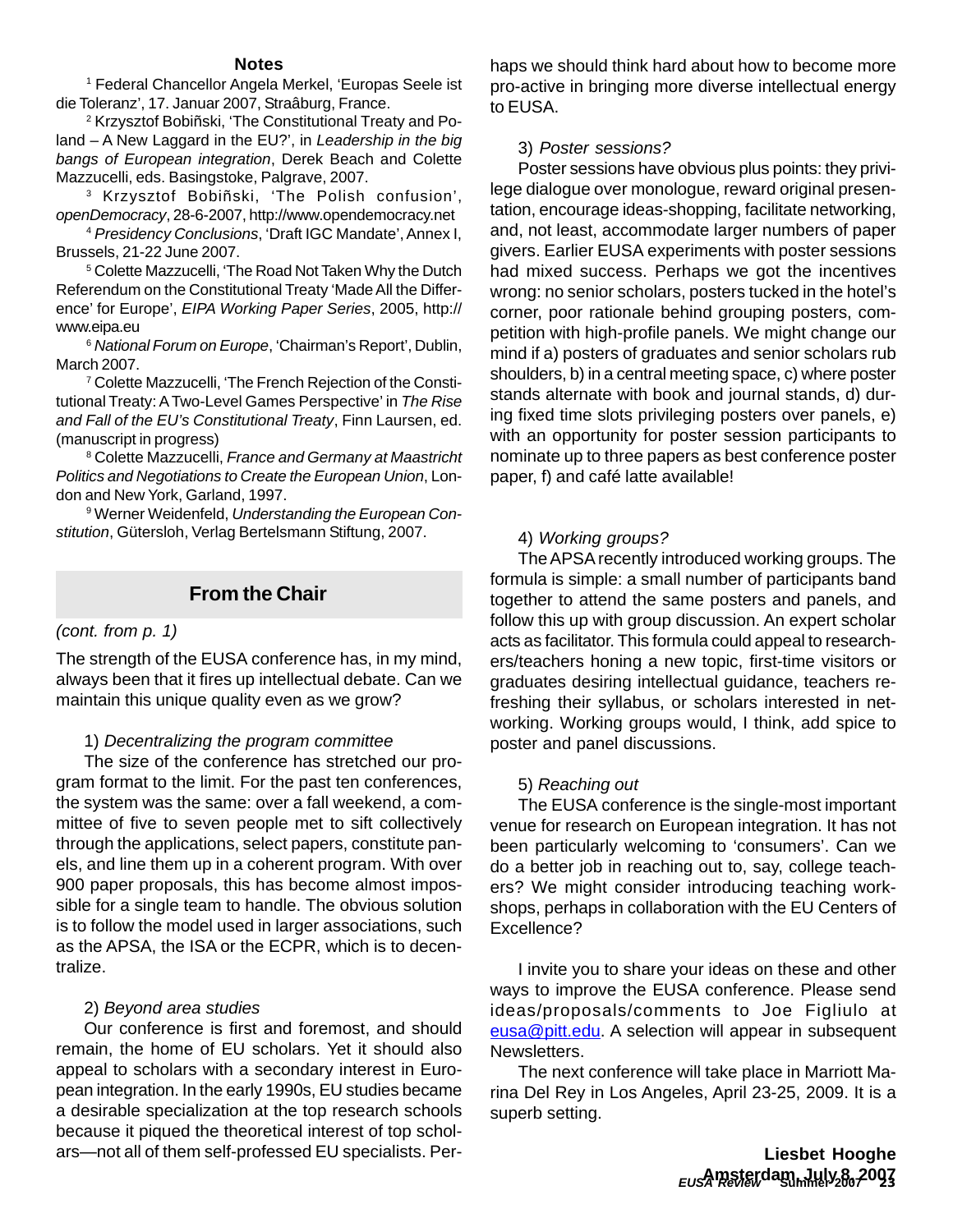#### **Notes**

1 Federal Chancellor Angela Merkel, 'Europas Seele ist die Toleranz', 17. Januar 2007, Straâburg, France.

2 Krzysztof Bobiñski, 'The Constitutional Treaty and Poland – A New Laggard in the EU?', in *Leadership in the big bangs of European integration*, Derek Beach and Colette Mazzucelli, eds. Basingstoke, Palgrave, 2007.

3 Krzysztof Bobiñski, 'The Polish confusion', *openDemocracy*, 28-6-2007, http://www.opendemocracy.net

<sup>4</sup> *Presidency Conclusions*, 'Draft IGC Mandate', Annex I, Brussels, 21-22 June 2007.

5 Colette Mazzucelli, 'The Road Not Taken Why the Dutch Referendum on the Constitutional Treaty 'Made All the Difference' for Europe', *EIPA Working Paper Series*, 2005, http:// www.eipa.eu

<sup>6</sup> *National Forum on Europe*, 'Chairman's Report', Dublin, March 2007.

7 Colette Mazzucelli, 'The French Rejection of the Constitutional Treaty: A Two-Level Games Perspective' in *The Rise and Fall of the EU's Constitutional Treaty*, Finn Laursen, ed. (manuscript in progress)

8 Colette Mazzucelli, *France and Germany at Maastricht Politics and Negotiations to Create the European Union*, London and New York, Garland, 1997.

9 Werner Weidenfeld, *Understanding the European Constitution*, Gütersloh, Verlag Bertelsmann Stiftung, 2007.

# **From the Chair**

#### *(cont. from p. 1)*

The strength of the EUSA conference has, in my mind, always been that it fires up intellectual debate. Can we maintain this unique quality even as we grow?

#### 1) *Decentralizing the program committee*

The size of the conference has stretched our program format to the limit. For the past ten conferences, the system was the same: over a fall weekend, a committee of five to seven people met to sift collectively through the applications, select papers, constitute panels, and line them up in a coherent program. With over 900 paper proposals, this has become almost impossible for a single team to handle. The obvious solution is to follow the model used in larger associations, such as the APSA, the ISA or the ECPR, which is to decentralize.

#### 2) *Beyond area studies*

Our conference is first and foremost, and should remain, the home of EU scholars. Yet it should also appeal to scholars with a secondary interest in European integration. In the early 1990s, EU studies became a desirable specialization at the top research schools because it piqued the theoretical interest of top scholars—not all of them self-professed EU specialists. Perhaps we should think hard about how to become more pro-active in bringing more diverse intellectual energy to EUSA.

#### 3) *Poster sessions?*

Poster sessions have obvious plus points: they privilege dialogue over monologue, reward original presentation, encourage ideas-shopping, facilitate networking, and, not least, accommodate larger numbers of paper givers. Earlier EUSA experiments with poster sessions had mixed success. Perhaps we got the incentives wrong: no senior scholars, posters tucked in the hotel's corner, poor rationale behind grouping posters, competition with high-profile panels. We might change our mind if a) posters of graduates and senior scholars rub shoulders, b) in a central meeting space, c) where poster stands alternate with book and journal stands, d) during fixed time slots privileging posters over panels, e) with an opportunity for poster session participants to nominate up to three papers as best conference poster paper, f) and café latte available!

#### 4) *Working groups?*

The APSA recently introduced working groups. The formula is simple: a small number of participants band together to attend the same posters and panels, and follow this up with group discussion. An expert scholar acts as facilitator. This formula could appeal to researchers/teachers honing a new topic, first-time visitors or graduates desiring intellectual guidance, teachers refreshing their syllabus, or scholars interested in networking. Working groups would, I think, add spice to poster and panel discussions.

#### 5) *Reaching out*

The EUSA conference is the single-most important venue for research on European integration. It has not been particularly welcoming to 'consumers'. Can we do a better job in reaching out to, say, college teachers? We might consider introducing teaching workshops, perhaps in collaboration with the EU Centers of Excellence?

I invite you to share your ideas on these and other ways to improve the EUSA conference. Please send ideas/proposals/comments to Joe Figliulo at eusa@pitt.edu. A selection will appear in subsequent Newsletters.

The next conference will take place in Marriott Marina Del Rey in Los Angeles, April 23-25, 2009. It is a superb setting.

> *EUSA Review* **Summer 2007 23 Amsterdam, July 8, 2007Liesbet Hooghe**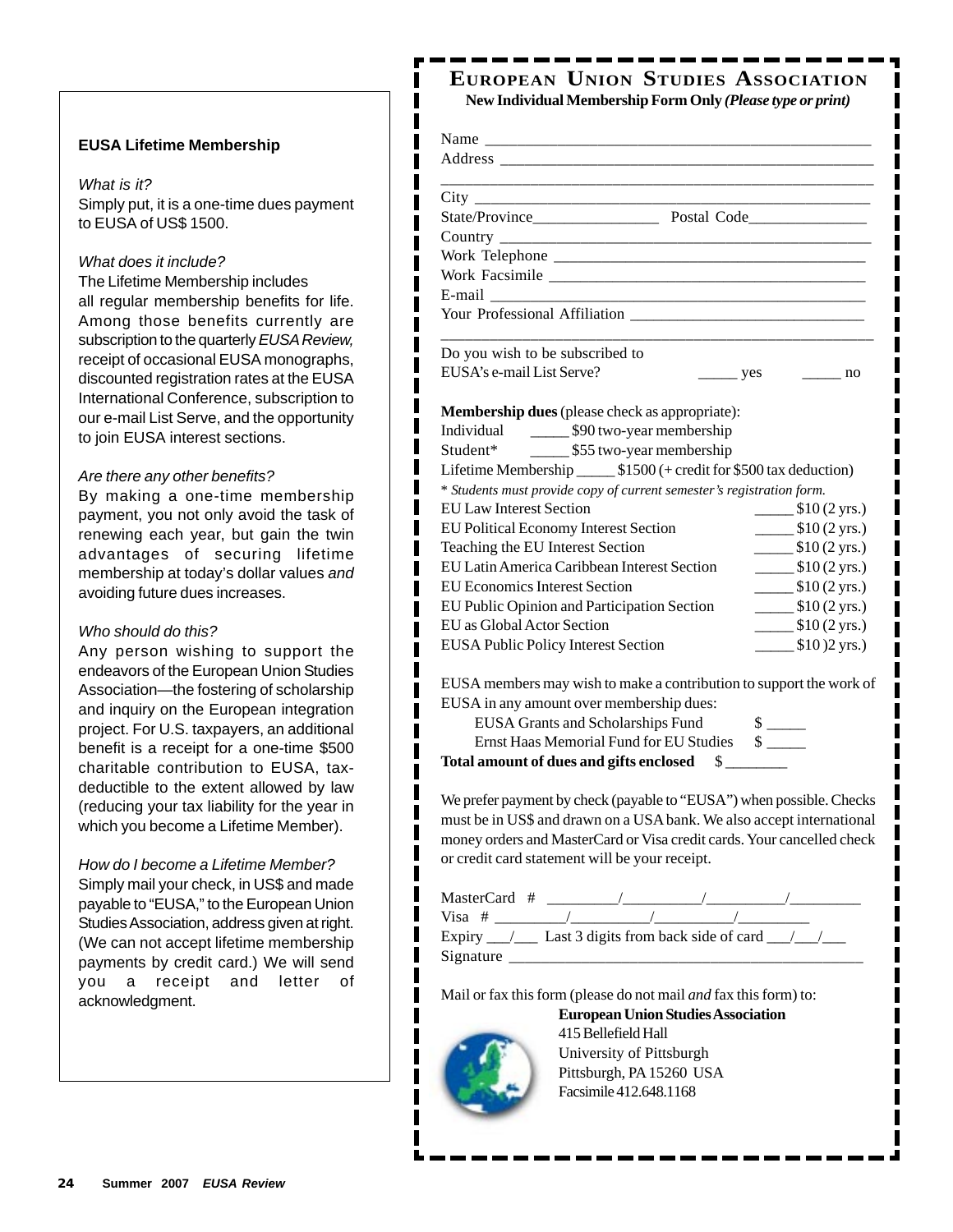#### **EUSA Lifetime Membership**

#### *What is it?*

Simply put, it is a one-time dues payment to EUSA of US\$ 1500.

ı ı ı

#### *What does it include?*

The Lifetime Membership includes all regular membership benefits for life. Among those benefits currently are subscription to the quarterly *EUSA Review,* receipt of occasional EUSA monographs, discounted registration rates at the EUSA International Conference, subscription to our e-mail List Serve, and the opportunity to join EUSA interest sections.

#### *Are there any other benefits?*

By making a one-time membership payment, you not only avoid the task of renewing each year, but gain the twin advantages of securing lifetime membership at today's dollar values *and* avoiding future dues increases.

#### *Who should do this?*

Any person wishing to support the endeavors of the European Union Studies Association—the fostering of scholarship and inquiry on the European integration project. For U.S. taxpayers, an additional benefit is a receipt for a one-time \$500 charitable contribution to EUSA, taxdeductible to the extent allowed by law (reducing your tax liability for the year in which you become a Lifetime Member).

*How do I become a Lifetime Member?* Simply mail your check, in US\$ and made payable to "EUSA," to the European Union Studies Association, address given at right. (We can not accept lifetime membership payments by credit card.) We will send you a receipt and letter of acknowledgment.

## **EUROPEAN UNION STUDIES ASSOCIATION New Individual Membership Form Only** *(Please type or print)*

| Do you wish to be subscribed to                                        |                                        |                                                             |
|------------------------------------------------------------------------|----------------------------------------|-------------------------------------------------------------|
| EUSA's e-mail List Serve?                                              | $\frac{\ }{\ }$ yes $\frac{\ }{\ }$ no |                                                             |
|                                                                        |                                        |                                                             |
| <b>Membership dues</b> (please check as appropriate):                  |                                        |                                                             |
| Individual 590 two-year membership                                     |                                        |                                                             |
| Student* ________ \$55 two-year membership                             |                                        |                                                             |
| Lifetime Membership _______ \$1500 (+ credit for \$500 tax deduction)  |                                        |                                                             |
| * Students must provide copy of current semester's registration form.  |                                        |                                                             |
| <b>EU Law Interest Section</b>                                         |                                        | $\frac{\text{I}}{\text{I}}(2 \text{ yrs.})$                 |
| EU Political Economy Interest Section                                  |                                        | $\frac{\text{I}}{\text{I}}(2 \text{ yrs.})$                 |
| Teaching the EU Interest Section                                       |                                        | $\frac{\text{I}(2 \text{ yrs.})}{\text{I}(2 \text{ yrs.})}$ |
| EU Latin America Caribbean Interest Section                            |                                        | $\frac{\text{I}(2 \text{ yrs.})}{\text{I}(2 \text{ yrs.})}$ |
| <b>EU Economics Interest Section</b>                                   |                                        | $\frac{\text{I}(2 \text{ yrs.})}{\text{I}(2 \text{ yrs.})}$ |
| EU Public Opinion and Participation Section                            |                                        | $\frac{\text{I}(2 \text{ yrs.})}{\text{I}(2 \text{ yrs.})}$ |
| EU as Global Actor Section                                             |                                        | $\frac{\text{I}(2 \text{ yrs.})}{\text{I}(2 \text{ yrs.})}$ |
| EUSA Public Policy Interest Section                                    |                                        | $\frac{\text{I}}{\text{I}}(0)$ (2 yrs.)                     |
|                                                                        |                                        |                                                             |
| EUSA members may wish to make a contribution to support the work of    |                                        |                                                             |
| EUSA in any amount over membership dues:                               |                                        |                                                             |
| <b>EUSA Grants and Scholarships Fund</b>                               |                                        |                                                             |
| Ernst Haas Memorial Fund for EU Studies \$                             |                                        |                                                             |
| Total amount of dues and gifts enclosed \$                             |                                        |                                                             |
| We prefer payment by check (payable to "EUSA") when possible. Checks   |                                        |                                                             |
| must be in US\$ and drawn on a USA bank. We also accept international  |                                        |                                                             |
| money orders and MasterCard or Visa credit cards. Your cancelled check |                                        |                                                             |
| or credit card statement will be your receipt.                         |                                        |                                                             |
|                                                                        |                                        |                                                             |
|                                                                        |                                        |                                                             |
|                                                                        |                                        |                                                             |
|                                                                        |                                        |                                                             |
|                                                                        |                                        |                                                             |

Mail or fax this form (please do not mail *and* fax this form) to:

**European Union Studies Association**



ı I I ı

415 Bellefield Hall University of Pittsburgh Pittsburgh, PA 15260 USA Facsimile 412.648.1168